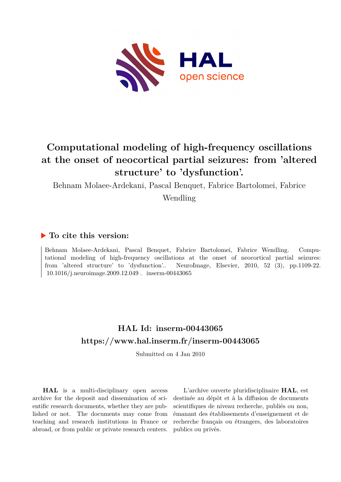

# **Computational modeling of high-frequency oscillations at the onset of neocortical partial seizures: from 'altered structure' to 'dysfunction'.**

Behnam Molaee-Ardekani, Pascal Benquet, Fabrice Bartolomei, Fabrice

Wendling

# **To cite this version:**

Behnam Molaee-Ardekani, Pascal Benquet, Fabrice Bartolomei, Fabrice Wendling. Computational modeling of high-frequency oscillations at the onset of neocortical partial seizures: from 'altered structure' to 'dysfunction'.. NeuroImage, Elsevier, 2010, 52 (3), pp.1109-22.  $10.1016$ /i.neuroimage.2009.12.049. inserm-00443065

# **HAL Id: inserm-00443065 <https://www.hal.inserm.fr/inserm-00443065>**

Submitted on 4 Jan 2010

**HAL** is a multi-disciplinary open access archive for the deposit and dissemination of scientific research documents, whether they are published or not. The documents may come from teaching and research institutions in France or abroad, or from public or private research centers.

L'archive ouverte pluridisciplinaire **HAL**, est destinée au dépôt et à la diffusion de documents scientifiques de niveau recherche, publiés ou non, émanant des établissements d'enseignement et de recherche français ou étrangers, des laboratoires publics ou privés.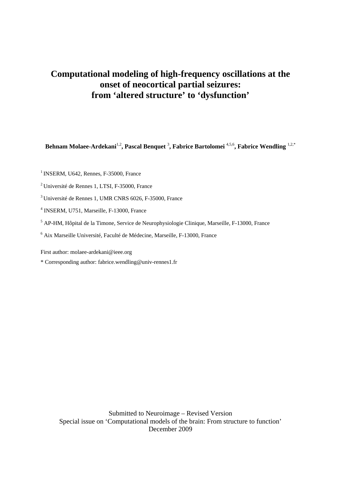# **Computational modeling of high-frequency oscillations at the onset of neocortical partial seizures: from 'altered structure' to 'dysfunction'**

**Behnam Molaee-Ardekani**1,2**, Pascal Benquet** <sup>3</sup> **, Fabrice Bartolomei** 4,5,6**, Fabrice Wendling** 1,2,\*

<sup>1</sup> INSERM, U642, Rennes, F-35000, France

2 Université de Rennes 1, LTSI, F-35000, France

3 Université de Rennes 1, UMR CNRS 6026, F-35000, France

4 INSERM, U751, Marseille, F-13000, France

<sup>5</sup> AP-HM, Hôpital de la Timone, Service de Neurophysiologie Clinique, Marseille, F-13000, France

6 Aix Marseille Université, Faculté de Médecine, Marseille, F-13000, France

First author: molaee-ardekani@ieee.org

\* Corresponding author: fabrice.wendling@univ-rennes1.fr

Submitted to Neuroimage – Revised Version Special issue on 'Computational models of the brain: From structure to function' December 2009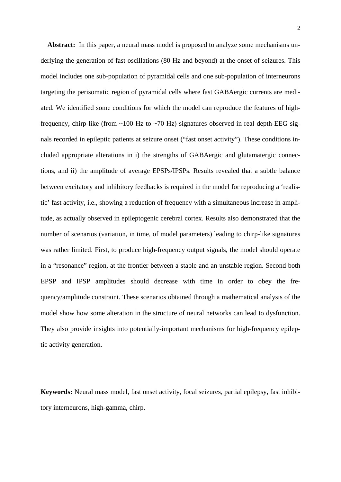**Abstract:** In this paper, a neural mass model is proposed to analyze some mechanisms underlying the generation of fast oscillations (80 Hz and beyond) at the onset of seizures. This model includes one sub-population of pyramidal cells and one sub-population of interneurons targeting the perisomatic region of pyramidal cells where fast GABAergic currents are mediated. We identified some conditions for which the model can reproduce the features of highfrequency, chirp-like (from  $\sim$ 100 Hz to  $\sim$ 70 Hz) signatures observed in real depth-EEG signals recorded in epileptic patients at seizure onset ("fast onset activity"). These conditions included appropriate alterations in i) the strengths of GABAergic and glutamatergic connections, and ii) the amplitude of average EPSPs/IPSPs. Results revealed that a subtle balance between excitatory and inhibitory feedbacks is required in the model for reproducing a 'realistic' fast activity, i.e., showing a reduction of frequency with a simultaneous increase in amplitude, as actually observed in epileptogenic cerebral cortex. Results also demonstrated that the number of scenarios (variation, in time, of model parameters) leading to chirp-like signatures was rather limited. First, to produce high-frequency output signals, the model should operate in a "resonance" region, at the frontier between a stable and an unstable region. Second both EPSP and IPSP amplitudes should decrease with time in order to obey the frequency/amplitude constraint. These scenarios obtained through a mathematical analysis of the model show how some alteration in the structure of neural networks can lead to dysfunction. They also provide insights into potentially-important mechanisms for high-frequency epileptic activity generation.

**Keywords:** Neural mass model, fast onset activity, focal seizures, partial epilepsy, fast inhibitory interneurons, high-gamma, chirp.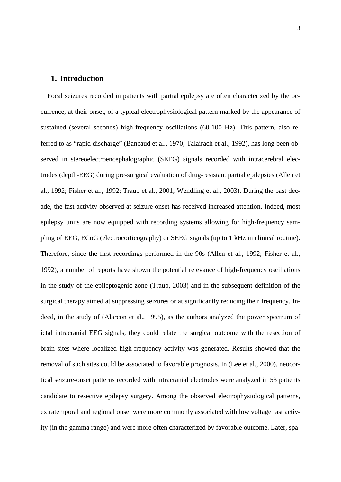# **1. Introduction**

Focal seizures recorded in patients with partial epilepsy are often characterized by the occurrence, at their onset, of a typical electrophysiological pattern marked by the appearance of sustained (several seconds) high-frequency oscillations (60-100 Hz). This pattern, also referred to as "rapid discharge" (Bancaud et al., 1970; Talairach et al., 1992), has long been observed in stereoelectroencephalographic (SEEG) signals recorded with intracerebral electrodes (depth-EEG) during pre-surgical evaluation of drug-resistant partial epilepsies (Allen et al., 1992; Fisher et al., 1992; Traub et al., 2001; Wendling et al., 2003). During the past decade, the fast activity observed at seizure onset has received increased attention. Indeed, most epilepsy units are now equipped with recording systems allowing for high-frequency sampling of EEG, ECoG (electrocorticography) or SEEG signals (up to 1 kHz in clinical routine). Therefore, since the first recordings performed in the 90s (Allen et al., 1992; Fisher et al., 1992), a number of reports have shown the potential relevance of high-frequency oscillations in the study of the epileptogenic zone (Traub, 2003) and in the subsequent definition of the surgical therapy aimed at suppressing seizures or at significantly reducing their frequency. Indeed, in the study of (Alarcon et al., 1995), as the authors analyzed the power spectrum of ictal intracranial EEG signals, they could relate the surgical outcome with the resection of brain sites where localized high-frequency activity was generated. Results showed that the removal of such sites could be associated to favorable prognosis. In (Lee et al., 2000), neocortical seizure-onset patterns recorded with intracranial electrodes were analyzed in 53 patients candidate to resective epilepsy surgery. Among the observed electrophysiological patterns, extratemporal and regional onset were more commonly associated with low voltage fast activity (in the gamma range) and were more often characterized by favorable outcome. Later, spa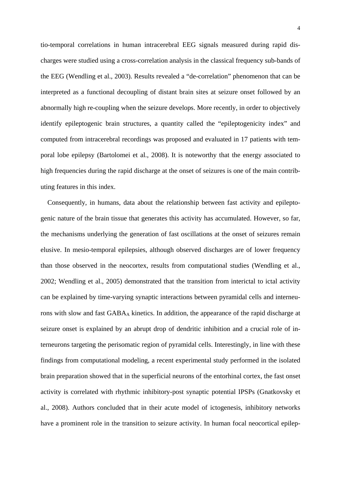tio-temporal correlations in human intracerebral EEG signals measured during rapid discharges were studied using a cross-correlation analysis in the classical frequency sub-bands of the EEG (Wendling et al., 2003). Results revealed a "de-correlation" phenomenon that can be interpreted as a functional decoupling of distant brain sites at seizure onset followed by an abnormally high re-coupling when the seizure develops. More recently, in order to objectively identify epileptogenic brain structures, a quantity called the "epileptogenicity index" and computed from intracerebral recordings was proposed and evaluated in 17 patients with temporal lobe epilepsy (Bartolomei et al., 2008). It is noteworthy that the energy associated to high frequencies during the rapid discharge at the onset of seizures is one of the main contributing features in this index.

Consequently, in humans, data about the relationship between fast activity and epileptogenic nature of the brain tissue that generates this activity has accumulated. However, so far, the mechanisms underlying the generation of fast oscillations at the onset of seizures remain elusive. In mesio-temporal epilepsies, although observed discharges are of lower frequency than those observed in the neocortex, results from computational studies (Wendling et al., 2002; Wendling et al., 2005) demonstrated that the transition from interictal to ictal activity can be explained by time-varying synaptic interactions between pyramidal cells and interneurons with slow and fast GABAA kinetics. In addition, the appearance of the rapid discharge at seizure onset is explained by an abrupt drop of dendritic inhibition and a crucial role of interneurons targeting the perisomatic region of pyramidal cells. Interestingly, in line with these findings from computational modeling, a recent experimental study performed in the isolated brain preparation showed that in the superficial neurons of the entorhinal cortex, the fast onset activity is correlated with rhythmic inhibitory-post synaptic potential IPSPs (Gnatkovsky et al., 2008). Authors concluded that in their acute model of ictogenesis, inhibitory networks have a prominent role in the transition to seizure activity. In human focal neocortical epilep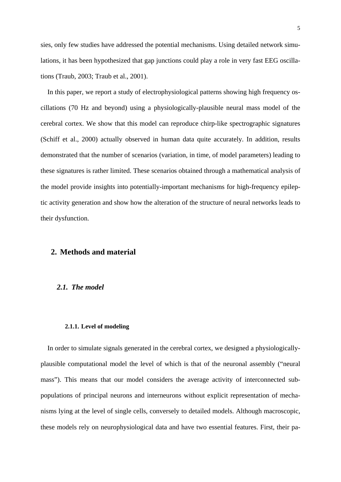sies, only few studies have addressed the potential mechanisms. Using detailed network simulations, it has been hypothesized that gap junctions could play a role in very fast EEG oscillations (Traub, 2003; Traub et al., 2001).

In this paper, we report a study of electrophysiological patterns showing high frequency oscillations (70 Hz and beyond) using a physiologically-plausible neural mass model of the cerebral cortex. We show that this model can reproduce chirp-like spectrographic signatures (Schiff et al., 2000) actually observed in human data quite accurately. In addition, results demonstrated that the number of scenarios (variation, in time, of model parameters) leading to these signatures is rather limited. These scenarios obtained through a mathematical analysis of the model provide insights into potentially-important mechanisms for high-frequency epileptic activity generation and show how the alteration of the structure of neural networks leads to their dysfunction.

# **2. Methods and material**

# *2.1. The model*

#### **2.1.1. Level of modeling**

In order to simulate signals generated in the cerebral cortex, we designed a physiologicallyplausible computational model the level of which is that of the neuronal assembly ("neural mass"). This means that our model considers the average activity of interconnected subpopulations of principal neurons and interneurons without explicit representation of mechanisms lying at the level of single cells, conversely to detailed models. Although macroscopic, these models rely on neurophysiological data and have two essential features. First, their pa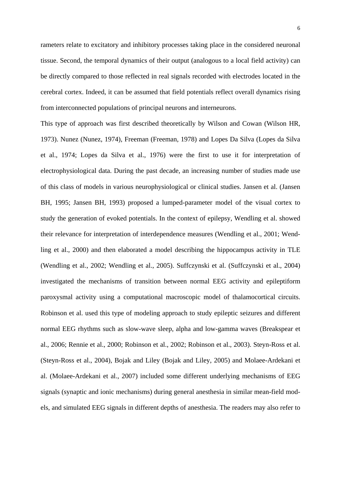rameters relate to excitatory and inhibitory processes taking place in the considered neuronal tissue. Second, the temporal dynamics of their output (analogous to a local field activity) can be directly compared to those reflected in real signals recorded with electrodes located in the cerebral cortex. Indeed, it can be assumed that field potentials reflect overall dynamics rising from interconnected populations of principal neurons and interneurons.

This type of approach was first described theoretically by Wilson and Cowan (Wilson HR, 1973). Nunez (Nunez, 1974), Freeman (Freeman, 1978) and Lopes Da Silva (Lopes da Silva et al., 1974; Lopes da Silva et al., 1976) were the first to use it for interpretation of electrophysiological data. During the past decade, an increasing number of studies made use of this class of models in various neurophysiological or clinical studies. Jansen et al. (Jansen BH, 1995; Jansen BH, 1993) proposed a lumped-parameter model of the visual cortex to study the generation of evoked potentials. In the context of epilepsy, Wendling et al. showed their relevance for interpretation of interdependence measures (Wendling et al., 2001; Wendling et al., 2000) and then elaborated a model describing the hippocampus activity in TLE (Wendling et al., 2002; Wendling et al., 2005). Suffczynski et al. (Suffczynski et al., 2004) investigated the mechanisms of transition between normal EEG activity and epileptiform paroxysmal activity using a computational macroscopic model of thalamocortical circuits. Robinson et al. used this type of modeling approach to study epileptic seizures and different normal EEG rhythms such as slow-wave sleep, alpha and low-gamma waves (Breakspear et al., 2006; Rennie et al., 2000; Robinson et al., 2002; Robinson et al., 2003). Steyn-Ross et al. (Steyn-Ross et al., 2004), Bojak and Liley (Bojak and Liley, 2005) and Molaee-Ardekani et al. (Molaee-Ardekani et al., 2007) included some different underlying mechanisms of EEG signals (synaptic and ionic mechanisms) during general anesthesia in similar mean-field models, and simulated EEG signals in different depths of anesthesia. The readers may also refer to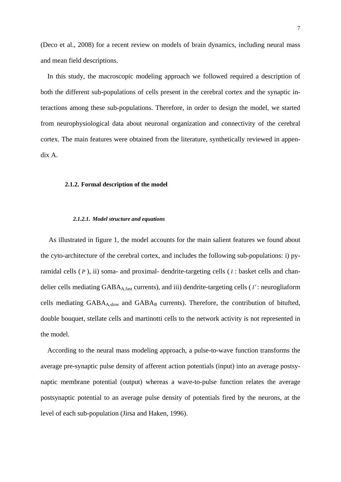(Deco et al., 2008) for a recent review on models of brain dynamics, including neural mass and mean field descriptions.

In this study, the macroscopic modeling approach we followed required a description of both the different sub-populations of cells present in the cerebral cortex and the synaptic interactions among these sub-populations. Therefore, in order to design the model, we started from neurophysiological data about neuronal organization and connectivity of the cerebral cortex. The main features were obtained from the literature, synthetically reviewed in appendix A.

#### **2.1.2. Formal description of the model**

#### *2.1.2.1. Model structure and equations*

As illustrated in figure 1, the model accounts for the main salient features we found about the cyto-architecture of the cerebral cortex, and includes the following sub-populations: i) pyramidal cells ( *P* ), ii) soma- and proximal- dendrite-targeting cells ( *I* : basket cells and chandelier cells mediating GABAA,fast currents), and iii) dendrite-targeting cells ( *I*′ : neurogliaform cells mediating  $GABA_{A,slow}$  and  $GABA_B$  currents). Therefore, the contribution of bitufted, double bouquet, stellate cells and martinotti cells to the network activity is not represented in the model.

According to the neural mass modeling approach, a pulse-to-wave function transforms the average pre-synaptic pulse density of afferent action potentials (input) into an average postsynaptic membrane potential (output) whereas a wave-to-pulse function relates the average postsynaptic potential to an average pulse density of potentials fired by the neurons, at the level of each sub-population (Jirsa and Haken, 1996).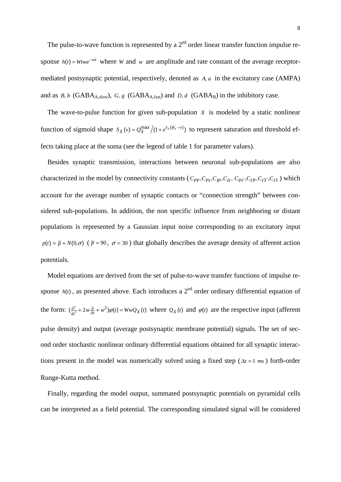The pulse-to-wave function is represented by a  $2<sup>nd</sup>$  order linear transfer function impulse response  $h(t) = W_t w e^{-wt}$  where *W* and w are amplitude and rate constant of the average receptormediated postsynaptic potential, respectively, denoted as *A*, *a* in the excitatory case (AMPA) and as  $B$ ,  $b$  (GABA<sub>A,slow</sub>),  $G$ ,  $g$  (GABA<sub>A,fast</sub>) and  $D$ ,  $d$  (GABA<sub>B</sub>) in the inhibitory case.

The wave-to-pulse function for given sub-population  $X$  is modeled by a static nonlinear function of sigmoid shape  $S_X(v) = Q_X^{\max}/(1 + e^{r_X(\theta_X - v)})$  to represent saturation and threshold effects taking place at the soma (see the legend of table 1 for parameter values).

Besides synaptic transmission, interactions between neuronal sub-populations are also characterized in the model by connectivity constants ( $C_{PP}, C_{PI}, C_{IP}, C_{II}, C_{PP}, C_{I'P}, C_{I'I'}$ ,  $C_{I'I}$ ) which account for the average number of synaptic contacts or "connection strength" between considered sub-populations. In addition, the non specific influence from neighboring or distant populations is represented by a Gaussian input noise corresponding to an excitatory input  $p(t) = \bar{p} + N(0, \sigma)$  ( $\bar{p} = 90$ ,  $\sigma = 30$ ) that globally describes the average density of afferent action potentials.

Model equations are derived from the set of pulse-to-wave transfer functions of impulse response  $h(t)$ , as presented above. Each introduces a  $2<sup>nd</sup>$  order ordinary differential equation of the form:  $\left(\frac{\partial^2}{\partial x^2}\right)$  $(\frac{\partial^2}{\partial t^2} + 2w \frac{\partial}{\partial t} + w^2)\varphi(t) = WwQ_X(t)$  where  $Q_X(t)$  and  $\varphi(t)$  are the respective input (afferent pulse density) and output (average postsynaptic membrane potential) signals. The set of second order stochastic nonlinear ordinary differential equations obtained for all synaptic interactions present in the model was numerically solved using a fixed step ( $\Delta t = 1$  *ms*) forth-order Runge-Kutta method.

Finally, regarding the model output, summated postsynaptic potentials on pyramidal cells can be interpreted as a field potential. The corresponding simulated signal will be considered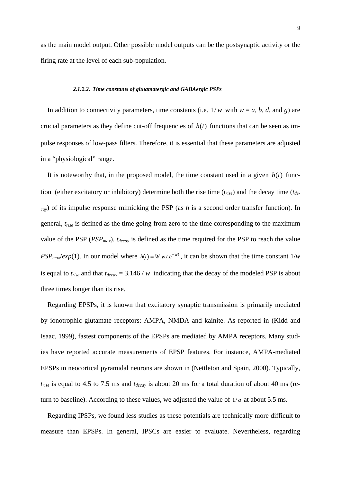as the main model output. Other possible model outputs can be the postsynaptic activity or the firing rate at the level of each sub-population.

#### *2.1.2.2. Time constants of glutamatergic and GABAergic PSPs*

In addition to connectivity parameters, time constants (i.e.  $1/w$  with  $w = a, b, d$ , and *g*) are crucial parameters as they define cut-off frequencies of  $h(t)$  functions that can be seen as impulse responses of low-pass filters. Therefore, it is essential that these parameters are adjusted in a "physiological" range.

It is noteworthy that, in the proposed model, the time constant used in a given  $h(t)$  function (either excitatory or inhibitory) determine both the rise time (*trise*) and the decay time (*tdecay*) of its impulse response mimicking the PSP (as *h* is a second order transfer function). In general, *trise* is defined as the time going from zero to the time corresponding to the maximum value of the PSP (*PSP<sub>max</sub>*). *t<sub>decay</sub>* is defined as the time required for the PSP to reach the value *PSP<sub>max</sub>*/*exp*(1). In our model where  $h(t) = W.w.t.e^{-wt}$ , it can be shown that the time constant  $1/w$ is equal to  $t_{rise}$  and that  $t_{decay} = 3.146 / w$  indicating that the decay of the modeled PSP is about three times longer than its rise.

Regarding EPSPs, it is known that excitatory synaptic transmission is primarily mediated by ionotrophic glutamate receptors: AMPA, NMDA and kainite. As reported in (Kidd and Isaac, 1999), fastest components of the EPSPs are mediated by AMPA receptors. Many studies have reported accurate measurements of EPSP features. For instance, AMPA-mediated EPSPs in neocortical pyramidal neurons are shown in (Nettleton and Spain, 2000). Typically,  $t_{rise}$  is equal to 4.5 to 7.5 ms and  $t_{decay}$  is about 20 ms for a total duration of about 40 ms (return to baseline). According to these values, we adjusted the value of  $1/a$  at about 5.5 ms.

Regarding IPSPs, we found less studies as these potentials are technically more difficult to measure than EPSPs. In general, IPSCs are easier to evaluate. Nevertheless, regarding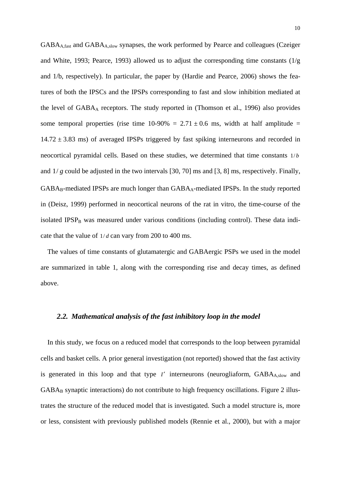GABAA,fast and GABAA,slow synapses, the work performed by Pearce and colleagues (Czeiger and White, 1993; Pearce, 1993) allowed us to adjust the corresponding time constants (1/g and 1/b, respectively). In particular, the paper by (Hardie and Pearce, 2006) shows the features of both the IPSCs and the IPSPs corresponding to fast and slow inhibition mediated at the level of GABAA receptors. The study reported in (Thomson et al., 1996) also provides some temporal properties (rise time  $10-90\% = 2.71 \pm 0.6$  ms, width at half amplitude =  $14.72 \pm 3.83$  ms) of averaged IPSPs triggered by fast spiking interneurons and recorded in neocortical pyramidal cells. Based on these studies, we determined that time constants  $1/b$ and  $1/g$  could be adjusted in the two intervals [30, 70] ms and [3, 8] ms, respectively. Finally, GABAB-mediated IPSPs are much longer than GABAA-mediated IPSPs. In the study reported in (Deisz, 1999) performed in neocortical neurons of the rat in vitro, the time-course of the isolated IPSP<sub>B</sub> was measured under various conditions (including control). These data indicate that the value of  $1/d$  can vary from 200 to 400 ms.

The values of time constants of glutamatergic and GABAergic PSPs we used in the model are summarized in table 1, along with the corresponding rise and decay times, as defined above.

## *2.2. Mathematical analysis of the fast inhibitory loop in the model*

In this study, we focus on a reduced model that corresponds to the loop between pyramidal cells and basket cells. A prior general investigation (not reported) showed that the fast activity is generated in this loop and that type *I'* interneurons (neurogliaform, GABA<sub>A,slow</sub> and GABA<sub>B</sub> synaptic interactions) do not contribute to high frequency oscillations. Figure 2 illustrates the structure of the reduced model that is investigated. Such a model structure is, more or less, consistent with previously published models (Rennie et al., 2000), but with a major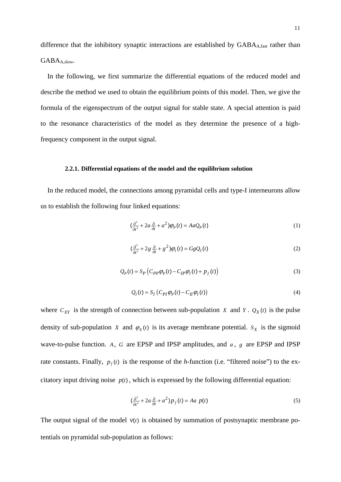difference that the inhibitory synaptic interactions are established by  $GABA_{A,fast}$  rather than GABA<sub>A,slow</sub>.

In the following, we first summarize the differential equations of the reduced model and describe the method we used to obtain the equilibrium points of this model. Then, we give the formula of the eigenspectrum of the output signal for stable state. A special attention is paid to the resonance characteristics of the model as they determine the presence of a highfrequency component in the output signal.

#### **2.2.1. Differential equations of the model and the equilibrium solution**

<span id="page-11-0"></span>In the reduced model, the connections among pyramidal cells and type-I interneurons allow us to establish the following four linked equations:

$$
\left(\frac{\partial^2}{\partial t^2} + 2a\frac{\partial}{\partial t} + a^2\right)\varphi_P(t) = AaQ_P(t)
$$
\n(1)

$$
\left(\frac{\partial^2}{\partial t^2} + 2g\,\frac{\partial}{\partial t} + g^2\right)\varphi_I(t) = GgQ_I(t)
$$
\n(2)

$$
Q_P(t) = S_P \left( C_{PP} \varphi_P(t) - C_{IP} \varphi_I(t) + p_f(t) \right)
$$
 (3)

$$
Q_I(t) = S_I (C_{PI} \varphi_P(t) - C_{II} \varphi_I(t))
$$
\n(4)

where  $C_{XY}$  is the strength of connection between sub-population *X* and *Y* .  $Q_X(t)$  is the pulse density of sub-population  $X$  and  $\varphi_X(t)$  is its average membrane potential.  $S_X$  is the sigmoid wave-to-pulse function. *A*, *G* are EPSP and IPSP amplitudes, and *a* , *g* are EPSP and IPSP rate constants. Finally,  $p_f(t)$  is the response of the *h*-function (i.e. "filtered noise") to the excitatory input driving noise  $p(t)$ , which is expressed by the following differential equation:

$$
\left(\frac{\partial^2}{\partial t^2} + 2a\frac{\partial}{\partial t} + a^2\right)p_f(t) = Aa\ p(t)
$$
\n(5)

<span id="page-11-1"></span>The output signal of the model  $v(t)$  is obtained by summation of postsynaptic membrane potentials on pyramidal sub-population as follows: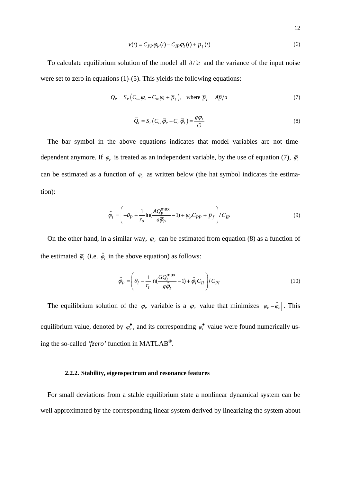$$
V(t) = C_{PP}\varphi_P(t) - C_{IP}\varphi_I(t) + p_f(t)
$$
\n(6)

<span id="page-12-0"></span>To calculate equilibrium solution of the model all  $\partial/\partial t$  and the variance of the input noise were set to zero in equations [\(1\)-](#page-11-0)[\(5\).](#page-11-1) This yields the following equations:

$$
\overline{Q}_P = S_P (C_{PP} \overline{\varphi}_P - C_{IP} \overline{\varphi}_I + \overline{P}_f), \text{ where } \overline{P}_f = A\overline{P}/a \tag{7}
$$

$$
\overline{Q}_I = S_I (C_{PI} \overline{\varphi}_P - C_{II} \overline{\varphi}_I) = \frac{g \overline{\varphi}_I}{G}
$$
 (8)

<span id="page-12-1"></span>The bar symbol in the above equations indicates that model variables are not timedependent anymore. If  $\bar{\varphi}_r$  is treated as an independent variable, by the use of equation [\(7\)](#page-12-0),  $\bar{\varphi}_i$ can be estimated as a function of  $\bar{\varphi}_P$  as written below (the hat symbol indicates the estimation):

$$
\hat{\overline{\varphi}}_I = \left( -\theta_P + \frac{1}{r_P} \ln(\frac{AQ_P^{\text{max}}}{a\overline{\varphi}_P} - 1) + \overline{\varphi}_P C_{PP} + \overline{p}_f \right) / C_{IP}
$$
\n(9)

On the other hand, in a similar way,  $\bar{\varphi}_p$  can be estimated from equation [\(8\)](#page-12-1) as a function of the estimated  $\bar{\varphi}_I$  (i.e.  $\hat{\bar{\varphi}}_I$  in the above equation) as follows:

$$
\hat{\bar{\varphi}}_P = \left(\theta_I - \frac{1}{r_I} \ln\left(\frac{GQ_I^{\text{max}}}{g\hat{\bar{\varphi}}_I} - 1\right) + \hat{\bar{\varphi}}_I C_{II}\right) / C_{PI}
$$
\n(10)

The equilibrium solution of the  $\varphi_P$  variable is a  $\bar{\varphi}_P$  value that minimizes  $|\bar{\varphi}_P - \hat{\bar{\varphi}}_P|$ . This equilibrium value, denoted by  $\varphi_r^{\bullet}$ , and its corresponding  $\varphi_r^{\bullet}$  value were found numerically using the so-called *'fzero'* function in MATLAB®.

### **2.2.2. Stability, eigenspectrum and resonance features**

<span id="page-12-2"></span>For small deviations from a stable equilibrium state a nonlinear dynamical system can be well approximated by the corresponding linear system derived by linearizing the system about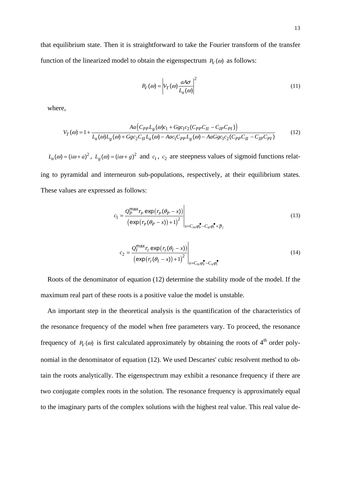that equilibrium state. Then it is straightforward to take the Fourier transform of the transfer function of the linearized model to obtain the eigenspectrum  $P_V(\omega)$  as follows:

$$
P_V(\omega) = \left| V_T(\omega) \frac{a A \sigma}{L_a(\omega)} \right|^2 \tag{11}
$$

<span id="page-13-0"></span>where,

$$
V_T(\omega) = 1 + \frac{Aa \left( C_{PP} L_g(\omega) c_1 + Gg c_1 c_2 (C_{PP} C_H - C_{IP} C_{PI}) \right)}{L_a(\omega) L_g(\omega) + Gg c_2 C_H L_a(\omega) - Aac_1 C_{PP} L_g(\omega) - Aac_3 c_1 c_2 (C_{PP} C_H - C_{IP} C_{PI})}
$$
(12)

 $L_a(\omega) = (i\omega + a)^2$ ,  $L_g(\omega) = (i\omega + g)^2$  and  $c_1$ ,  $c_2$  are steepness values of sigmoid functions relat-

ing to pyramidal and interneuron sub-populations, respectively, at their equilibrium states. These values are expressed as follows:

$$
c_1 = \frac{Q_P^{\max} r_P \exp(r_P(\theta_P - x))}{\left(\exp(r_P(\theta_P - x)) + 1\right)^2} \Bigg|_{x = C_{PP} \varphi_P^{\bullet} - C_{IP} \varphi_I^{\bullet} + \overline{p}_f}
$$
(13)

$$
c_2 = \frac{Q_I^{\max} r_I \exp(r_I(\theta_I - x))}{\left(\exp(r_I(\theta_I - x)) + 1\right)^2}\Bigg|_{x = C_{PI}\phi_P^{\bullet} - C_{II}\phi_I^{\bullet}}
$$
(14)

Roots of the denominator of equation [\(12\)](#page-13-0) determine the stability mode of the model. If the maximum real part of these roots is a positive value the model is unstable.

An important step in the theoretical analysis is the quantification of the characteristics of the resonance frequency of the model when free parameters vary. To proceed, the resonance frequency of  $\,P_V(\omega)\,$  is first calculated approximately by obtaining the roots of  $4^{\rm th}$  order polynomial in the denominator of equation [\(12\)](#page-13-0). We used Descartes' cubic resolvent method to obtain the roots analytically. The eigenspectrum may exhibit a resonance frequency if there are two conjugate complex roots in the solution. The resonance frequency is approximately equal to the imaginary parts of the complex solutions with the highest real value. This real value de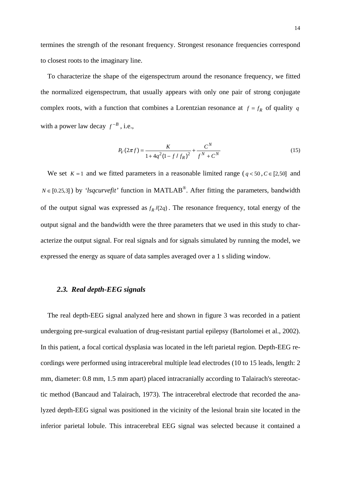termines the strength of the resonant frequency. Strongest resonance frequencies correspond to closest roots to the imaginary line.

To characterize the shape of the eigenspectrum around the resonance frequency, we fitted the normalized eigenspectrum, that usually appears with only one pair of strong conjugate complex roots, with a function that combines a Lorentzian resonance at  $f = f_R$  of quality q with a power law decay  $f^{-B}$ , i.e.,

$$
P_V(2\pi f) = \frac{K}{1 + 4q^2(1 - f/f_R)^2} + \frac{C^N}{f^N + C^N}
$$
(15)

We set  $K = 1$  and we fitted parameters in a reasonable limited range ( $q < 50$ ,  $C \in [2, 50]$  and  $N \in [0.25, 3]$ ) by *'lsqcurvefit'* function in MATLAB<sup>®</sup>. After fitting the parameters, bandwidth of the output signal was expressed as  $f_R/(2q)$ . The resonance frequency, total energy of the output signal and the bandwidth were the three parameters that we used in this study to characterize the output signal. For real signals and for signals simulated by running the model, we expressed the energy as square of data samples averaged over a 1 s sliding window.

# *2.3. Real depth-EEG signals*

The real depth-EEG signal analyzed here and shown in figure 3 was recorded in a patient undergoing pre-surgical evaluation of drug-resistant partial epilepsy (Bartolomei et al., 2002). In this patient, a focal cortical dysplasia was located in the left parietal region. Depth-EEG recordings were performed using intracerebral multiple lead electrodes (10 to 15 leads, length: 2 mm, diameter: 0.8 mm, 1.5 mm apart) placed intracranially according to Talairach's stereotactic method (Bancaud and Talairach, 1973). The intracerebral electrode that recorded the analyzed depth-EEG signal was positioned in the vicinity of the lesional brain site located in the inferior parietal lobule. This intracerebral EEG signal was selected because it contained a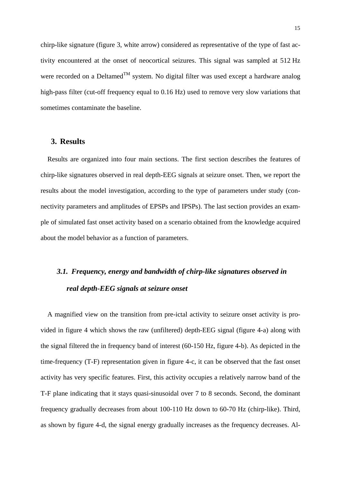chirp-like signature (figure 3, white arrow) considered as representative of the type of fast activity encountered at the onset of neocortical seizures. This signal was sampled at 512 Hz were recorded on a Deltamed<sup>TM</sup> system. No digital filter was used except a hardware analog high-pass filter (cut-off frequency equal to 0.16 Hz) used to remove very slow variations that sometimes contaminate the baseline.

# **3. Results**

Results are organized into four main sections. The first section describes the features of chirp-like signatures observed in real depth-EEG signals at seizure onset. Then, we report the results about the model investigation, according to the type of parameters under study (connectivity parameters and amplitudes of EPSPs and IPSPs). The last section provides an example of simulated fast onset activity based on a scenario obtained from the knowledge acquired about the model behavior as a function of parameters.

# *3.1. Frequency, energy and bandwidth of chirp-like signatures observed in real depth-EEG signals at seizure onset*

A magnified view on the transition from pre-ictal activity to seizure onset activity is provided in figure 4 which shows the raw (unfiltered) depth-EEG signal (figure 4-a) along with the signal filtered the in frequency band of interest (60-150 Hz, figure 4-b). As depicted in the time-frequency (T-F) representation given in figure 4-c, it can be observed that the fast onset activity has very specific features. First, this activity occupies a relatively narrow band of the T-F plane indicating that it stays quasi-sinusoidal over 7 to 8 seconds. Second, the dominant frequency gradually decreases from about 100-110 Hz down to 60-70 Hz (chirp-like). Third, as shown by figure 4-d, the signal energy gradually increases as the frequency decreases. Al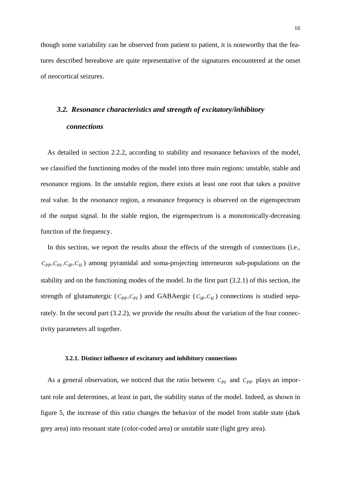though some variability can be observed from patient to patient, it is noteworthy that the features described hereabove are quite representative of the signatures encountered at the onset of neocortical seizures.

# <span id="page-16-1"></span>*3.2. Resonance characteristics and strength of excitatory/inhibitory connections*

As detailed in section [2.2.2](#page-12-2), according to stability and resonance behaviors of the model, we classified the functioning modes of the model into three main regions: unstable, stable and resonance regions. In the unstable region, there exists at least one root that takes a positive real value. In the resonance region, a resonance frequency is observed on the eigenspectrum of the output signal. In the stable region, the eigenspectrum is a monotonically-decreasing function of the frequency.

In this section, we report the results about the effects of the strength of connections (i.e.,  $C_{PP}, C_{PI}, C_{IP}, C_{II}$ ) among pyramidal and soma-projecting interneuron sub-populations on the stability and on the functioning modes of the model. In the first part  $(3.2.1)$  of this section, the strength of glutamatergic  $(c_{\textit{pp}}, c_{\textit{PI}})$  and GABAergic  $(c_{\textit{IP}}, c_{\textit{II}})$  connections is studied separately. In the second part (3.2.2), we provide the results about the variation of the four connectivity parameters all together.

#### **3.2.1. Distinct influence of excitatory and inhibitory connections**

<span id="page-16-0"></span>As a general observation, we noticed that the ratio between  $C_{PI}$  and  $C_{PP}$  plays an important role and determines, at least in part, the stability status of the model. Indeed, as shown in figure 5, the increase of this ratio changes the behavior of the model from stable state (dark grey area) into resonant state (color-coded area) or unstable state (light grey area).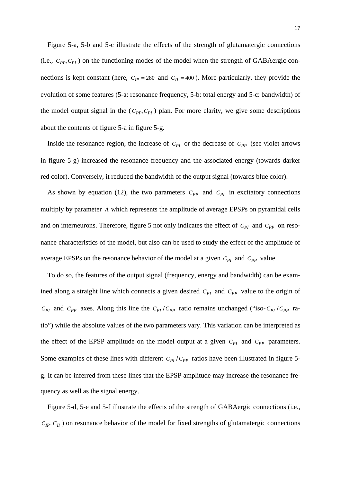Figure 5-a, 5-b and 5-c illustrate the effects of the strength of glutamatergic connections (i.e.,  $C_{PP}, C_{PI}$ ) on the functioning modes of the model when the strength of GABAergic connections is kept constant (here,  $C_{IP} = 280$  and  $C_{II} = 400$ ). More particularly, they provide the evolution of some features (5-a: resonance frequency, 5-b: total energy and 5-c: bandwidth) of the model output signal in the  $(C_{PP}, C_{PI})$  plan. For more clarity, we give some descriptions about the contents of figure 5-a in figure 5-g.

Inside the resonance region, the increase of  $C_{PI}$  or the decrease of  $C_{PP}$  (see violet arrows in figure 5-g) increased the resonance frequency and the associated energy (towards darker red color). Conversely, it reduced the bandwidth of the output signal (towards blue color).

As shown by equation [\(12\)](#page-13-0), the two parameters  $C_{PP}$  and  $C_{PI}$  in excitatory connections multiply by parameter *A* which represents the amplitude of average EPSPs on pyramidal cells and on interneurons. Therefore, figure 5 not only indicates the effect of  $C_{PI}$  and  $C_{PP}$  on resonance characteristics of the model, but also can be used to study the effect of the amplitude of average EPSPs on the resonance behavior of the model at a given  $C_{PI}$  and  $C_{PP}$  value.

To do so, the features of the output signal (frequency, energy and bandwidth) can be examined along a straight line which connects a given desired  $C_{PI}$  and  $C_{PP}$  value to the origin of  $C_{PI}$  and  $C_{PP}$  axes. Along this line the  $C_{PI}/C_{PP}$  ratio remains unchanged ("iso- $C_{PI}/C_{PP}$  ratio") while the absolute values of the two parameters vary. This variation can be interpreted as the effect of the EPSP amplitude on the model output at a given  $C_{PI}$  and  $C_{PP}$  parameters. Some examples of these lines with different  $C_{PI}/C_{PP}$  ratios have been illustrated in figure 5g. It can be inferred from these lines that the EPSP amplitude may increase the resonance frequency as well as the signal energy.

Figure 5-d, 5-e and 5-f illustrate the effects of the strength of GABAergic connections (i.e.,  $C_{IP}$ ,  $C_{II}$ ) on resonance behavior of the model for fixed strengths of glutamatergic connections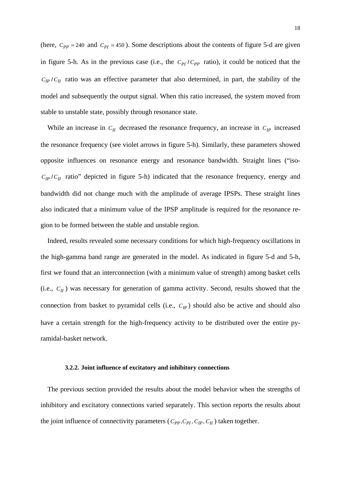(here,  $C_{PP} = 240$  and  $C_{PI} = 450$ ). Some descriptions about the contents of figure 5-d are given in figure 5-h. As in the previous case (i.e., the  $C_{PI}/C_{PP}$  ratio), it could be noticed that the  $C_{IP}/C_{II}$  ratio was an effective parameter that also determined, in part, the stability of the model and subsequently the output signal. When this ratio increased, the system moved from stable to unstable state, possibly through resonance state.

While an increase in  $C_{II}$  decreased the resonance frequency, an increase in  $C_{IP}$  increased the resonance frequency (see violet arrows in figure 5-h). Similarly, these parameters showed opposite influences on resonance energy and resonance bandwidth. Straight lines ("iso- $C_{IP}/C_{II}$  ratio" depicted in figure 5-h) indicated that the resonance frequency, energy and bandwidth did not change much with the amplitude of average IPSPs. These straight lines also indicated that a minimum value of the IPSP amplitude is required for the resonance region to be formed between the stable and unstable region.

Indeed, results revealed some necessary conditions for which high-frequency oscillations in the high-gamma band range are generated in the model. As indicated in figure 5-d and 5-h, first we found that an interconnection (with a minimum value of strength) among basket cells (i.e.,  $C_{II}$ ) was necessary for generation of gamma activity. Second, results showed that the connection from basket to pyramidal cells (i.e.,  $C_{IP}$ ) should also be active and should also have a certain strength for the high-frequency activity to be distributed over the entire pyramidal-basket network.

#### **3.2.2. Joint influence of excitatory and inhibitory connections**

<span id="page-18-0"></span>The previous section provided the results about the model behavior when the strengths of inhibitory and excitatory connections varied separately. This section reports the results about the joint influence of connectivity parameters  $(C_{PP}, C_{PI}, C_{IP}, C_{II})$  taken together.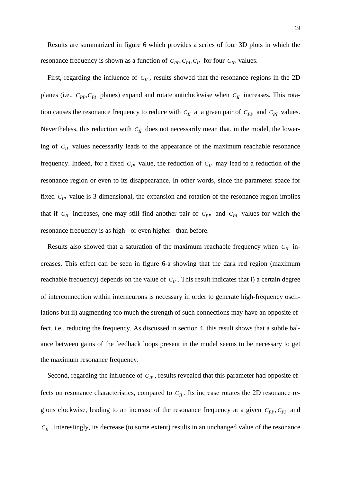Results are summarized in figure 6 which provides a series of four 3D plots in which the resonance frequency is shown as a function of  $C_{PP}, C_{PI}, C_{II}$  for four  $C_{IP}$  values.

First, regarding the influence of  $C_{II}$ , results showed that the resonance regions in the 2D planes (i.e.,  $C_{PP}, C_{PI}$  planes) expand and rotate anticlockwise when  $C_{II}$  increases. This rotation causes the resonance frequency to reduce with  $C_{II}$  at a given pair of  $C_{PP}$  and  $C_{PI}$  values. Nevertheless, this reduction with  $\,c_{I\!I}\,$  does not necessarily mean that, in the model, the lowering of *CII* values necessarily leads to the appearance of the maximum reachable resonance frequency. Indeed, for a fixed  $C_{IP}$  value, the reduction of  $C_{II}$  may lead to a reduction of the resonance region or even to its disappearance. In other words, since the parameter space for fixed  $C_{IP}$  value is 3-dimensional, the expansion and rotation of the resonance region implies that if  $C_{II}$  increases, one may still find another pair of  $C_{PP}$  and  $C_{PI}$  values for which the resonance frequency is as high - or even higher - than before.

Results also showed that a saturation of the maximum reachable frequency when  $c_{II}$  increases. This effect can be seen in figure 6-a showing that the dark red region (maximum reachable frequency) depends on the value of  $\,c_{\scriptscriptstyle{II}}$  . This result indicates that i) a certain degree of interconnection within interneurons is necessary in order to generate high-frequency oscillations but ii) augmenting too much the strength of such connections may have an opposite effect, i.e., reducing the frequency. As discussed in section [4](#page-22-0), this result shows that a subtle balance between gains of the feedback loops present in the model seems to be necessary to get the maximum resonance frequency.

Second, regarding the influence of  $C_{IP}$ , results revealed that this parameter had opposite effects on resonance characteristics, compared to  $C<sub>H</sub>$ . Its increase rotates the 2D resonance regions clockwise, leading to an increase of the resonance frequency at a given  $C_{PP}$ ,  $C_{PI}$  and  $C_{II}$ . Interestingly, its decrease (to some extent) results in an unchanged value of the resonance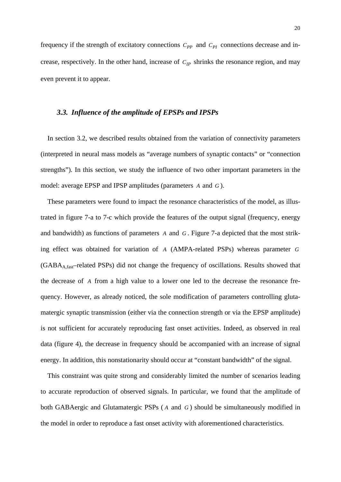frequency if the strength of excitatory connections  $C_{PP}$  and  $C_{PI}$  connections decrease and increase, respectively. In the other hand, increase of  $C_{IP}$  shrinks the resonance region, and may even prevent it to appear.

## *3.3. Influence of the amplitude of EPSPs and IPSPs*

In section [3.2](#page-16-1), we described results obtained from the variation of connectivity parameters (interpreted in neural mass models as "average numbers of synaptic contacts" or "connection strengths"). In this section, we study the influence of two other important parameters in the model: average EPSP and IPSP amplitudes (parameters *A* and *G* ).

These parameters were found to impact the resonance characteristics of the model, as illustrated in figure 7-a to 7-c which provide the features of the output signal (frequency, energy and bandwidth) as functions of parameters  $\bm{A}$  and  $\bm{G}$ . Figure 7-a depicted that the most striking effect was obtained for variation of *A* (AMPA-related PSPs) whereas parameter *G* (GABAA,fast–related PSPs) did not change the frequency of oscillations. Results showed that the decrease of *A* from a high value to a lower one led to the decrease the resonance frequency. However, as already noticed, the sole modification of parameters controlling glutamatergic synaptic transmission (either via the connection strength or via the EPSP amplitude) is not sufficient for accurately reproducing fast onset activities. Indeed, as observed in real data (figure 4), the decrease in frequency should be accompanied with an increase of signal energy. In addition, this nonstationarity should occur at "constant bandwidth" of the signal.

This constraint was quite strong and considerably limited the number of scenarios leading to accurate reproduction of observed signals. In particular, we found that the amplitude of both GABAergic and Glutamatergic PSPs  $(A \text{ and } G)$  should be simultaneously modified in the model in order to reproduce a fast onset activity with aforementioned characteristics.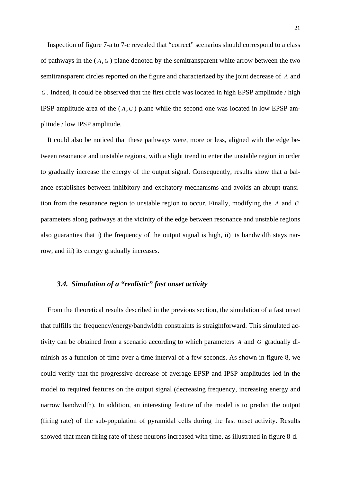Inspection of figure 7-a to 7-c revealed that "correct" scenarios should correspond to a class of pathways in the ( *A*, *G* ) plane denoted by the semitransparent white arrow between the two semitransparent circles reported on the figure and characterized by the joint decrease of *A* and . Indeed, it could be observed that the first circle was located in high EPSP amplitude / high *G* IPSP amplitude area of the ( *A*, *G* ) plane while the second one was located in low EPSP amplitude / low IPSP amplitude.

It could also be noticed that these pathways were, more or less, aligned with the edge between resonance and unstable regions, with a slight trend to enter the unstable region in order to gradually increase the energy of the output signal. Consequently, results show that a balance establishes between inhibitory and excitatory mechanisms and avoids an abrupt transition from the resonance region to unstable region to occur. Finally, modifying the *A* and *G* parameters along pathways at the vicinity of the edge between resonance and unstable regions also guaranties that i) the frequency of the output signal is high, ii) its bandwidth stays narrow, and iii) its energy gradually increases.

# *3.4. Simulation of a "realistic" fast onset activity*

From the theoretical results described in the previous section, the simulation of a fast onset that fulfills the frequency/energy/bandwidth constraints is straightforward. This simulated activity can be obtained from a scenario according to which parameters  $\bm{A}$  and  $\bm{G}$  gradually diminish as a function of time over a time interval of a few seconds. As shown in figure 8, we could verify that the progressive decrease of average EPSP and IPSP amplitudes led in the model to required features on the output signal (decreasing frequency, increasing energy and narrow bandwidth). In addition, an interesting feature of the model is to predict the output (firing rate) of the sub-population of pyramidal cells during the fast onset activity. Results showed that mean firing rate of these neurons increased with time, as illustrated in figure 8-d.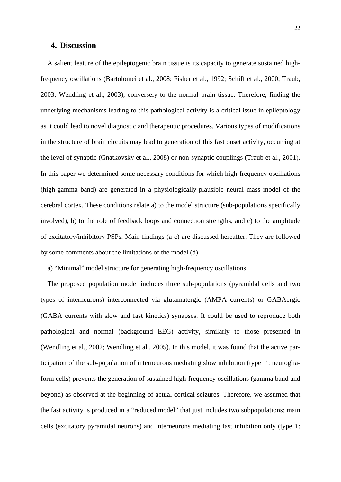# **4. Discussion**

<span id="page-22-0"></span>A salient feature of the epileptogenic brain tissue is its capacity to generate sustained highfrequency oscillations (Bartolomei et al., 2008; Fisher et al., 1992; Schiff et al., 2000; Traub, 2003; Wendling et al., 2003), conversely to the normal brain tissue. Therefore, finding the underlying mechanisms leading to this pathological activity is a critical issue in epileptology as it could lead to novel diagnostic and therapeutic procedures. Various types of modifications in the structure of brain circuits may lead to generation of this fast onset activity, occurring at the level of synaptic (Gnatkovsky et al., 2008) or non-synaptic couplings (Traub et al., 2001). In this paper we determined some necessary conditions for which high-frequency oscillations (high-gamma band) are generated in a physiologically-plausible neural mass model of the cerebral cortex. These conditions relate a) to the model structure (sub-populations specifically involved), b) to the role of feedback loops and connection strengths, and c) to the amplitude of excitatory/inhibitory PSPs. Main findings (a-c) are discussed hereafter. They are followed by some comments about the limitations of the model (d).

a) "Minimal" model structure for generating high-frequency oscillations

The proposed population model includes three sub-populations (pyramidal cells and two types of interneurons) interconnected via glutamatergic (AMPA currents) or GABAergic (GABA currents with slow and fast kinetics) synapses. It could be used to reproduce both pathological and normal (background EEG) activity, similarly to those presented in (Wendling et al., 2002; Wendling et al., 2005). In this model, it was found that the active participation of the sub-population of interneurons mediating slow inhibition (type I: neurogliaform cells) prevents the generation of sustained high-frequency oscillations (gamma band and beyond) as observed at the beginning of actual cortical seizures. Therefore, we assumed that the fast activity is produced in a "reduced model" that just includes two subpopulations: main cells (excitatory pyramidal neurons) and interneurons mediating fast inhibition only (type I :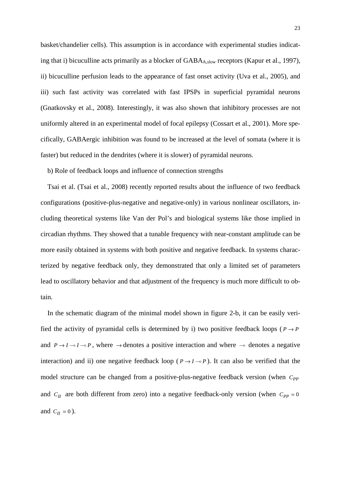basket/chandelier cells). This assumption is in accordance with experimental studies indicating that i) bicuculline acts primarily as a blocker of  $GABA_{A,slow}$  receptors (Kapur et al., 1997), ii) bicuculline perfusion leads to the appearance of fast onset activity (Uva et al., 2005), and iii) such fast activity was correlated with fast IPSPs in superficial pyramidal neurons (Gnatkovsky et al., 2008). Interestingly, it was also shown that inhibitory processes are not uniformly altered in an experimental model of focal epilepsy (Cossart et al., 2001). More specifically, GABAergic inhibition was found to be increased at the level of somata (where it is faster) but reduced in the dendrites (where it is slower) of pyramidal neurons.

b) Role of feedback loops and influence of connection strengths

Tsai et al. (Tsai et al., 2008) recently reported results about the influence of two feedback configurations (positive-plus-negative and negative-only) in various nonlinear oscillators, including theoretical systems like Van der Pol's and biological systems like those implied in circadian rhythms. They showed that a tunable frequency with near-constant amplitude can be more easily obtained in systems with both positive and negative feedback. In systems characterized by negative feedback only, they demonstrated that only a limited set of parameters lead to oscillatory behavior and that adjustment of the frequency is much more difficult to obtain.

In the schematic diagram of the minimal model shown in figure 2-b, it can be easily verified the activity of pyramidal cells is determined by i) two positive feedback loops ( $P \rightarrow P$ and  $P \rightarrow I \rightarrow I \rightarrow P$ , where  $\rightarrow$  denotes a positive interaction and where  $\rightarrow$  denotes a negative interaction) and ii) one negative feedback loop ( $P \rightarrow I \rightarrow P$ ). It can also be verified that the model structure can be changed from a positive-plus-negative feedback version (when  $\,c_{PP}^{}$ and  $C_{II}$  are both different from zero) into a negative feedback-only version (when  $C_{PP} = 0$ and  $C_{II} = 0$ ).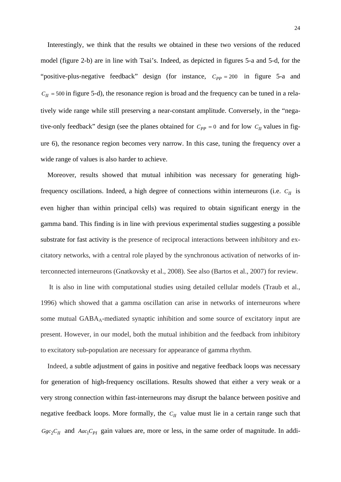Interestingly, we think that the results we obtained in these two versions of the reduced model (figure 2-b) are in line with Tsai's. Indeed, as depicted in figures 5-a and 5-d, for the "positive-plus-negative feedback" design (for instance,  $C_{PP} = 200$  in figure 5-a and  $C_{II}$  = 500 in figure 5-d), the resonance region is broad and the frequency can be tuned in a relatively wide range while still preserving a near-constant amplitude. Conversely, in the "negative-only feedback" design (see the planes obtained for  $C_{PP} = 0$  and for low  $C_{II}$  values in figure 6), the resonance region becomes very narrow. In this case, tuning the frequency over a wide range of values is also harder to achieve.

Moreover, results showed that mutual inhibition was necessary for generating highfrequency oscillations. Indeed, a high degree of connections within interneurons (i.e.  $C_{II}$  is even higher than within principal cells) was required to obtain significant energy in the gamma band. This finding is in line with previous experimental studies suggesting a possible substrate for fast activity is the presence of reciprocal interactions between inhibitory and excitatory networks, with a central role played by the synchronous activation of networks of interconnected interneurons (Gnatkovsky et al., 2008). See also (Bartos et al., 2007) for review.

 It is also in line with computational studies using detailed cellular models (Traub et al., 1996) which showed that a gamma oscillation can arise in networks of interneurons where some mutual GABA<sub>A</sub>-mediated synaptic inhibition and some source of excitatory input are present. However, in our model, both the mutual inhibition and the feedback from inhibitory to excitatory sub-population are necessary for appearance of gamma rhythm.

Indeed, a subtle adjustment of gains in positive and negative feedback loops was necessary for generation of high-frequency oscillations. Results showed that either a very weak or a very strong connection within fast-interneurons may disrupt the balance between positive and negative feedback loops. More formally, the  $C_{II}$  value must lie in a certain range such that  $Gg_{c_2}C_{II}$  and  $Aac_1C_{PI}$  gain values are, more or less, in the same order of magnitude. In addi-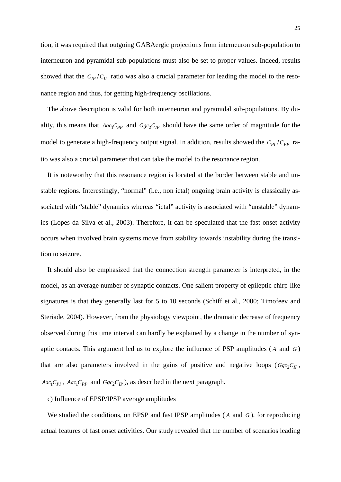tion, it was required that outgoing GABAergic projections from interneuron sub-population to interneuron and pyramidal sub-populations must also be set to proper values. Indeed, results showed that the  $C_{IP}/C_{II}$  ratio was also a crucial parameter for leading the model to the resonance region and thus, for getting high-frequency oscillations.

The above description is valid for both interneuron and pyramidal sub-populations. By duality, this means that  $_{Aac_1C_{PP}}$  and  $_{Ggc_2C_{IP}}$  should have the same order of magnitude for the model to generate a high-frequency output signal. In addition, results showed the  $\,C_{PI}\,/\,C_{PP}\,$  ratio was also a crucial parameter that can take the model to the resonance region.

It is noteworthy that this resonance region is located at the border between stable and unstable regions. Interestingly, "normal" (i.e., non ictal) ongoing brain activity is classically associated with "stable" dynamics whereas "ictal" activity is associated with "unstable" dynamics (Lopes da Silva et al., 2003). Therefore, it can be speculated that the fast onset activity occurs when involved brain systems move from stability towards instability during the transition to seizure.

It should also be emphasized that the connection strength parameter is interpreted, in the model, as an average number of synaptic contacts. One salient property of epileptic chirp-like signatures is that they generally last for 5 to 10 seconds (Schiff et al., 2000; Timofeev and Steriade, 2004). However, from the physiology viewpoint, the dramatic decrease of frequency observed during this time interval can hardly be explained by a change in the number of synaptic contacts. This argument led us to explore the influence of PSP amplitudes ( *A* and *G* ) that are also parameters involved in the gains of positive and negative loops  $(G_{gc_2}C_{II}, G_{C_2}C_{II})$  $Aac_1C_{PI}$ ,  $Aac_1C_{PP}$  and  $Ggc_2C_{IP}$ ), as described in the next paragraph.

# c) Influence of EPSP/IPSP average amplitudes

We studied the conditions, on EPSP and fast IPSP amplitudes ( *A* and *G* ), for reproducing actual features of fast onset activities. Our study revealed that the number of scenarios leading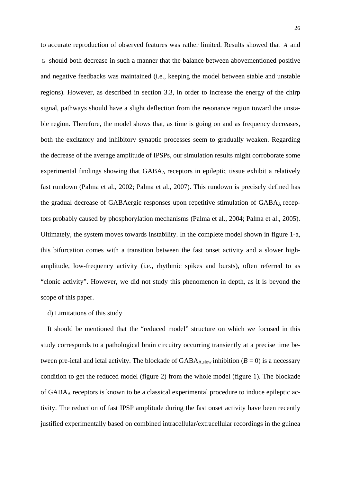to accurate reproduction of observed features was rather limited. Results showed that *A* and should both decrease in such a manner that the balance between abovementioned positive *G* and negative feedbacks was maintained (i.e., keeping the model between stable and unstable regions). However, as described in section 3.3, in order to increase the energy of the chirp signal, pathways should have a slight deflection from the resonance region toward the unstable region. Therefore, the model shows that, as time is going on and as frequency decreases, both the excitatory and inhibitory synaptic processes seem to gradually weaken. Regarding the decrease of the average amplitude of IPSPs, our simulation results might corroborate some experimental findings showing that GABAA receptors in epileptic tissue exhibit a relatively fast rundown (Palma et al., 2002; Palma et al., 2007). This rundown is precisely defined has the gradual decrease of GABAergic responses upon repetitive stimulation of  $GABA<sub>A</sub>$  receptors probably caused by phosphorylation mechanisms (Palma et al., 2004; Palma et al., 2005). Ultimately, the system moves towards instability. In the complete model shown in figure 1-a, this bifurcation comes with a transition between the fast onset activity and a slower highamplitude, low-frequency activity (i.e., rhythmic spikes and bursts), often referred to as "clonic activity". However, we did not study this phenomenon in depth, as it is beyond the scope of this paper.

# d) Limitations of this study

It should be mentioned that the "reduced model" structure on which we focused in this study corresponds to a pathological brain circuitry occurring transiently at a precise time between pre-ictal and ictal activity. The blockade of  $GABA_{A,\text{slow}}$  inhibition ( $B = 0$ ) is a necessary condition to get the reduced model (figure 2) from the whole model (figure 1). The blockade of GABAA receptors is known to be a classical experimental procedure to induce epileptic activity. The reduction of fast IPSP amplitude during the fast onset activity have been recently justified experimentally based on combined intracellular/extracellular recordings in the guinea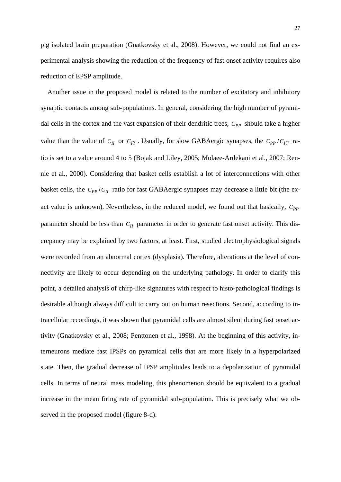pig isolated brain preparation (Gnatkovsky et al., 2008). However, we could not find an experimental analysis showing the reduction of the frequency of fast onset activity requires also reduction of EPSP amplitude.

Another issue in the proposed model is related to the number of excitatory and inhibitory synaptic contacts among sub-populations. In general, considering the high number of pyramidal cells in the cortex and the vast expansion of their dendritic trees,  $C_{PP}$  should take a higher value than the value of  $C_{II}$  or  $C_{I'I'}$ . Usually, for slow GABAergic synapses, the  $C_{PP}/C_{I'I'}$  ratio is set to a value around 4 to 5 (Bojak and Liley, 2005; Molaee-Ardekani et al., 2007; Rennie et al., 2000). Considering that basket cells establish a lot of interconnections with other basket cells, the  $\,c_{PP}/c_{II}\,$  ratio for fast GABAergic synapses may decrease a little bit (the exact value is unknown). Nevertheless, in the reduced model, we found out that basically,  $\,c_{PP}^{}$ parameter should be less than  $\,c_{\scriptscriptstyle H} \,$  parameter in order to generate fast onset activity. This discrepancy may be explained by two factors, at least. First, studied electrophysiological signals were recorded from an abnormal cortex (dysplasia). Therefore, alterations at the level of connectivity are likely to occur depending on the underlying pathology. In order to clarify this point, a detailed analysis of chirp-like signatures with respect to histo-pathological findings is desirable although always difficult to carry out on human resections. Second, according to intracellular recordings, it was shown that pyramidal cells are almost silent during fast onset activity (Gnatkovsky et al., 2008; Penttonen et al., 1998). At the beginning of this activity, interneurons mediate fast IPSPs on pyramidal cells that are more likely in a hyperpolarized state. Then, the gradual decrease of IPSP amplitudes leads to a depolarization of pyramidal cells. In terms of neural mass modeling, this phenomenon should be equivalent to a gradual increase in the mean firing rate of pyramidal sub-population. This is precisely what we observed in the proposed model (figure 8-d).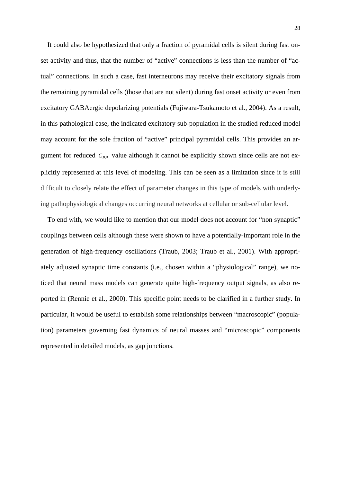It could also be hypothesized that only a fraction of pyramidal cells is silent during fast onset activity and thus, that the number of "active" connections is less than the number of "actual" connections. In such a case, fast interneurons may receive their excitatory signals from the remaining pyramidal cells (those that are not silent) during fast onset activity or even from excitatory GABAergic depolarizing potentials (Fujiwara-Tsukamoto et al., 2004). As a result, in this pathological case, the indicated excitatory sub-population in the studied reduced model may account for the sole fraction of "active" principal pyramidal cells. This provides an argument for reduced  $\,C_{PP}\,$  value although it cannot be explicitly shown since cells are not explicitly represented at this level of modeling. This can be seen as a limitation since it is still difficult to closely relate the effect of parameter changes in this type of models with underlying pathophysiological changes occurring neural networks at cellular or sub-cellular level.

To end with, we would like to mention that our model does not account for "non synaptic" couplings between cells although these were shown to have a potentially-important role in the generation of high-frequency oscillations (Traub, 2003; Traub et al., 2001). With appropriately adjusted synaptic time constants (i.e., chosen within a "physiological" range), we noticed that neural mass models can generate quite high-frequency output signals, as also reported in (Rennie et al., 2000). This specific point needs to be clarified in a further study. In particular, it would be useful to establish some relationships between "macroscopic" (population) parameters governing fast dynamics of neural masses and "microscopic" components represented in detailed models, as gap junctions.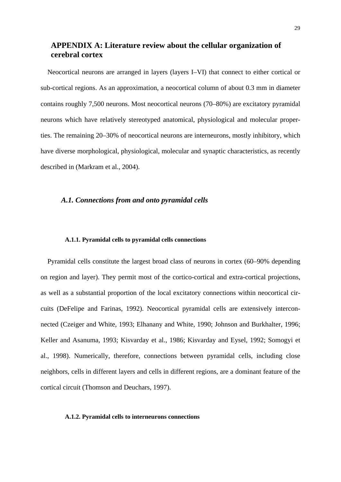# **APPENDIX A: Literature review about the cellular organization of cerebral cortex**

Neocortical neurons are arranged in layers (layers I–VI) that connect to either cortical or sub-cortical regions. As an approximation, a neocortical column of about 0.3 mm in diameter contains roughly 7,500 neurons. Most neocortical neurons (70–80%) are excitatory pyramidal neurons which have relatively stereotyped anatomical, physiological and molecular properties. The remaining 20–30% of neocortical neurons are interneurons, mostly inhibitory, which have diverse morphological, physiological, molecular and synaptic characteristics, as recently described in (Markram et al., 2004).

# *A.1. Connections from and onto pyramidal cells*

#### **A.1.1. Pyramidal cells to pyramidal cells connections**

Pyramidal cells constitute the largest broad class of neurons in cortex (60–90% depending on region and layer). They permit most of the cortico-cortical and extra-cortical projections, as well as a substantial proportion of the local excitatory connections within neocortical circuits (DeFelipe and Farinas, 1992). Neocortical pyramidal cells are extensively interconnected (Czeiger and White, 1993; Elhanany and White, 1990; Johnson and Burkhalter, 1996; Keller and Asanuma, 1993; Kisvarday et al., 1986; Kisvarday and Eysel, 1992; Somogyi et al., 1998). Numerically, therefore, connections between pyramidal cells, including close neighbors, cells in different layers and cells in different regions, are a dominant feature of the cortical circuit (Thomson and Deuchars, 1997).

#### **A.1.2. Pyramidal cells to interneurons connections**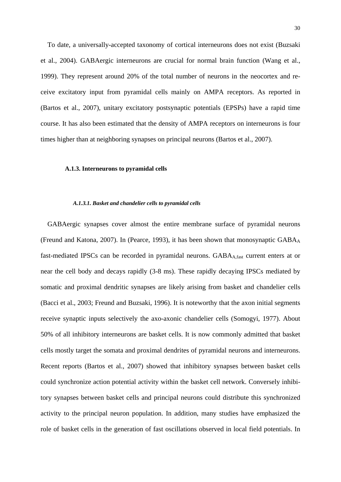To date, a universally-accepted taxonomy of cortical interneurons does not exist (Buzsaki et al., 2004). GABAergic interneurons are crucial for normal brain function (Wang et al., 1999). They represent around 20% of the total number of neurons in the neocortex and receive excitatory input from pyramidal cells mainly on AMPA receptors. As reported in (Bartos et al., 2007), unitary excitatory postsynaptic potentials (EPSPs) have a rapid time course. It has also been estimated that the density of AMPA receptors on interneurons is four times higher than at neighboring synapses on principal neurons (Bartos et al., 2007).

#### **A.1.3. Interneurons to pyramidal cells**

#### *A.1.3.1. Basket and chandelier cells to pyramidal cells*

GABAergic synapses cover almost the entire membrane surface of pyramidal neurons (Freund and Katona, 2007). In (Pearce, 1993), it has been shown that monosynaptic  $GABA_A$ fast-mediated IPSCs can be recorded in pyramidal neurons. GABA<sub>A,fast</sub> current enters at or near the cell body and decays rapidly (3-8 ms). These rapidly decaying IPSCs mediated by somatic and proximal dendritic synapses are likely arising from basket and chandelier cells (Bacci et al., 2003; Freund and Buzsaki, 1996). It is noteworthy that the axon initial segments receive synaptic inputs selectively the axo-axonic chandelier cells (Somogyi, 1977). About 50% of all inhibitory interneurons are basket cells. It is now commonly admitted that basket cells mostly target the somata and proximal dendrites of pyramidal neurons and interneurons. Recent reports (Bartos et al., 2007) showed that inhibitory synapses between basket cells could synchronize action potential activity within the basket cell network. Conversely inhibitory synapses between basket cells and principal neurons could distribute this synchronized activity to the principal neuron population. In addition, many studies have emphasized the role of basket cells in the generation of fast oscillations observed in local field potentials. In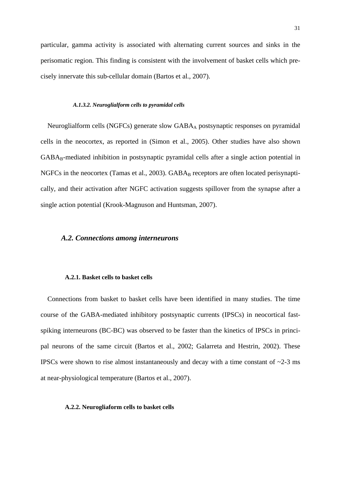particular, gamma activity is associated with alternating current sources and sinks in the perisomatic region. This finding is consistent with the involvement of basket cells which precisely innervate this sub-cellular domain (Bartos et al., 2007).

## *A.1.3.2. Neuroglialform cells to pyramidal cells*

Neuroglialform cells (NGFCs) generate slow GABA<sub>A</sub> postsynaptic responses on pyramidal cells in the neocortex, as reported in (Simon et al., 2005). Other studies have also shown  $GABA_B$ -mediated inhibition in postsynaptic pyramidal cells after a single action potential in NGFCs in the neocortex (Tamas et al., 2003).  $GABA_B$  receptors are often located perisynaptically, and their activation after NGFC activation suggests spillover from the synapse after a single action potential (Krook-Magnuson and Huntsman, 2007).

# *A.2. Connections among interneurons*

### **A.2.1. Basket cells to basket cells**

Connections from basket to basket cells have been identified in many studies. The time course of the GABA-mediated inhibitory postsynaptic currents (IPSCs) in neocortical fastspiking interneurons (BC-BC) was observed to be faster than the kinetics of IPSCs in principal neurons of the same circuit (Bartos et al., 2002; Galarreta and Hestrin, 2002). These IPSCs were shown to rise almost instantaneously and decay with a time constant of  $\sim$  2-3 ms at near-physiological temperature (Bartos et al., 2007).

#### **A.2.2. Neurogliaform cells to basket cells**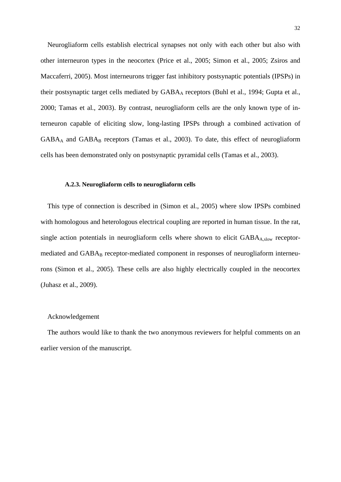Neurogliaform cells establish electrical synapses not only with each other but also with other interneuron types in the neocortex (Price et al., 2005; Simon et al., 2005; Zsiros and Maccaferri, 2005). Most interneurons trigger fast inhibitory postsynaptic potentials (IPSPs) in their postsynaptic target cells mediated by  $GABA_A$  receptors (Buhl et al., 1994; Gupta et al., 2000; Tamas et al., 2003). By contrast, neurogliaform cells are the only known type of interneuron capable of eliciting slow, long-lasting IPSPs through a combined activation of  $GABA_A$  and  $GABA_B$  receptors (Tamas et al., 2003). To date, this effect of neurogliaform cells has been demonstrated only on postsynaptic pyramidal cells (Tamas et al., 2003).

### **A.2.3. Neurogliaform cells to neurogliaform cells**

This type of connection is described in (Simon et al., 2005) where slow IPSPs combined with homologous and heterologous electrical coupling are reported in human tissue. In the rat, single action potentials in neurogliaform cells where shown to elicit  $GABA_{A,slow}$  receptormediated and  $GABA_B$  receptor-mediated component in responses of neurogliaform interneurons (Simon et al., 2005). These cells are also highly electrically coupled in the neocortex (Juhasz et al., 2009).

#### Acknowledgement

The authors would like to thank the two anonymous reviewers for helpful comments on an earlier version of the manuscript.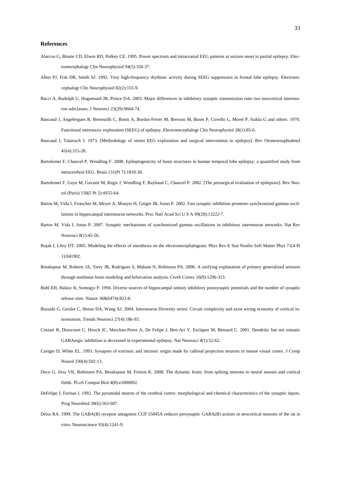#### **References**

- Alarcon G, Binnie CD, Elwes RD, Polkey CE. 1995. Power spectrum and intracranial EEG patterns at seizure onset in partial epilepsy. Electroencephalogr Clin Neurophysiol 94(5):326-37.
- Allen PJ, Fish DR, Smith SJ. 1992. Very high-frequency rhythmic activity during SEEG suppression in frontal lobe epilepsy. Electroencephalogr Clin Neurophysiol 82(2):155-9.
- Bacci A, Rudolph U, Huguenard JR, Prince DA. 2003. Major differences in inhibitory synaptic transmission onto two neocortical interneuron subclasses. J Neurosci 23(29):9664-74.
- Bancaud J, Angelergues R, Bernouilli C, Bonis A, Bordas-Ferrer M, Bresson M, Buser P, Covello L, Morel P, Szikla G and others. 1970. Functional stereotaxic exploration (SEEG) of epilepsy. Electroencephalogr Clin Neurophysiol 28(1):85-6.
- Bancaud J, Talairach J. 1973. [Methodology of stereo EEG exploration and surgical intervention in epilepsy]. Rev Otoneuroophtalmol 45(4):315-28.
- Bartolomei F, Chauvel P, Wendling F. 2008. Epileptogenicity of brain structures in human temporal lobe epilepsy: a quantified study from intracerebral EEG. Brain 131(Pt 7):1818-30.
- Bartolomei F, Guye M, Gavaret M, Regis J, Wendling F, Raybaud C, Chauvel P. 2002. [The presurgical evaluation of epilepsies]. Rev Neurol (Paris) 158(5 Pt 2):4S55-64.
- Bartos M, Vida I, Frotscher M, Meyer A, Monyer H, Geiger JR, Jonas P. 2002. Fast synaptic inhibition promotes synchronized gamma oscillations in hippocampal interneuron networks. Proc Natl Acad Sci U S A 99(20):13222-7.
- Bartos M, Vida I, Jonas P. 2007. Synaptic mechanisms of synchronized gamma oscillations in inhibitory interneuron networks. Nat Rev Neurosci 8(1):45-56.
- Bojak I, Liley DT. 2005. Modeling the effects of anesthesia on the electroencephalogram. Phys Rev E Stat Nonlin Soft Matter Phys 71(4 Pt 1):041902.
- Breakspear M, Roberts JA, Terry JR, Rodrigues S, Mahant N, Robinson PA. 2006. A unifying explanation of primary generalized seizures through nonlinear brain modeling and bifurcation analysis. Cereb Cortex 16(9):1296-313.
- Buhl EH, Halasy K, Somogyi P. 1994. Diverse sources of hippocampal unitary inhibitory postsynaptic potentials and the number of synaptic release sites. Nature 368(6474):823-8.
- Buzsaki G, Geisler C, Henze DA, Wang XJ. 2004. Interneuron Diversity series: Circuit complexity and axon wiring economy of cortical interneurons. Trends Neurosci 27(4):186-93.
- Cossart R, Dinocourt C, Hirsch JC, Merchan-Perez A, De Felipe J, Ben-Ari Y, Esclapez M, Bernard C. 2001. Dendritic but not somatic GABAergic inhibition is decreased in experimental epilepsy. Nat Neurosci 4(1):52-62.
- Czeiger D, White EL. 1993. Synapses of extrinsic and intrinsic origin made by callosal projection neurons in mouse visual cortex. J Comp Neurol 330(4):502-13.
- Deco G, Jirsa VK, Robinson PA, Breakspear M, Friston K. 2008. The dynamic brain: from spiking neurons to neural masses and cortical fields. PLoS Comput Biol 4(8):e1000092.
- DeFelipe J, Farinas I. 1992. The pyramidal neuron of the cerebral cortex: morphological and chemical characteristics of the synaptic inputs. Prog Neurobiol 39(6):563-607.
- Deisz RA. 1999. The GABA(B) receptor antagonist CGP 55845A reduces presynaptic GABA(B) actions in neocortical neurons of the rat in vitro. Neuroscience 93(4):1241-9.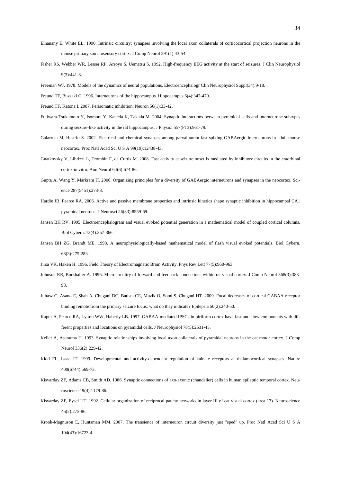- Elhanany E, White EL. 1990. Intrinsic circuitry: synapses involving the local axon collaterals of corticocortical projection neurons in the mouse primary somatosensory cortex. J Comp Neurol 291(1):43-54.
- Fisher RS, Webber WR, Lesser RP, Arroyo S, Uematsu S. 1992. High-frequency EEG activity at the start of seizures. J Clin Neurophysiol 9(3):441-8.
- Freeman WJ. 1978. Models of the dynamics of neural populations. Electroencephalogr Clin Neurophysiol Suppl(34):9-18.
- Freund TF, Buzsaki G. 1996. Interneurons of the hippocampus. Hippocampus 6(4):347-470.
- Freund TF, Katona I. 2007. Perisomatic inhibition. Neuron 56(1):33-42.
- Fujiwara-Tsukamoto Y, Isomura Y, Kaneda K, Takada M. 2004. Synaptic interactions between pyramidal cells and interneurone subtypes during seizure-like activity in the rat hippocampus. J Physiol 557(Pt 3):961-79.
- Galarreta M, Hestrin S. 2002. Electrical and chemical synapses among parvalbumin fast-spiking GABAergic interneurons in adult mouse neocortex. Proc Natl Acad Sci U S A 99(19):12438-43.
- Gnatkovsky V, Librizzi L, Trombin F, de Curtis M. 2008. Fast activity at seizure onset is mediated by inhibitory circuits in the entorhinal cortex in vitro. Ann Neurol 64(6):674-86.
- Gupta A, Wang Y, Markram H. 2000. Organizing principles for a diversity of GABAergic interneurons and synapses in the neocortex. Science 287(5451):273-8.
- Hardie JB, Pearce RA. 2006. Active and passive membrane properties and intrinsic kinetics shape synaptic inhibition in hippocampal CA1 pyramidal neurons. J Neurosci 26(33):8559-69.
- Jansen BH RV. 1995. Electroencephalogram and visual evoked potential generation in a mathematical model of coupled cortical columns. Biol Cybern. 73(4):357-366.
- Jansen BH ZG, Brandt ME. 1993. A neurophysiologically-based mathematical model of flash visual evoked potentials. Biol Cybern. 68(3):275-283.
- Jirsa VK, Haken H. 1996. Field Theory of Electromagnetic Brain Activity. Phys Rev Lett 77(5):960-963.
- Johnson RR, Burkhalter A. 1996. Microcircuitry of forward and feedback connections within rat visual cortex. J Comp Neurol 368(3):383- 98.
- Juhasz C, Asano E, Shah A, Chugani DC, Batista CE, Muzik O, Sood S, Chugani HT. 2009. Focal decreases of cortical GABAA receptor binding remote from the primary seizure focus: what do they indicate? Epilepsia 50(2):240-50.
- Kapur A, Pearce RA, Lytton WW, Haberly LB. 1997. GABAA-mediated IPSCs in piriform cortex have fast and slow components with different properties and locations on pyramidal cells. J Neurophysiol 78(5):2531-45.
- Keller A, Asanuma H. 1993. Synaptic relationships involving local axon collaterals of pyramidal neurons in the cat motor cortex. J Comp Neurol 336(2):229-42.
- Kidd FL, Isaac JT. 1999. Developmental and activity-dependent regulation of kainate receptors at thalamocortical synapses. Nature 400(6744):569-73.
- Kisvarday ZF, Adams CB, Smith AD. 1986. Synaptic connections of axo-axonic (chandelier) cells in human epileptic temporal cortex. Neuroscience 19(4):1179-86.
- Kisvarday ZF, Eysel UT. 1992. Cellular organization of reciprocal patchy networks in layer III of cat visual cortex (area 17). Neuroscience 46(2):275-86.
- Krook-Magnuson E, Huntsman MM. 2007. The transience of interneuron circuit diversity just "sped" up. Proc Natl Acad Sci U S A 104(43):16723-4.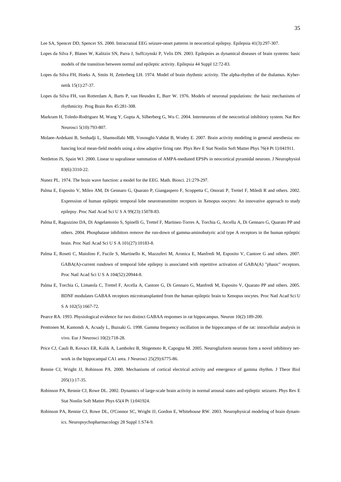Lee SA, Spencer DD, Spencer SS. 2000. Intracranial EEG seizure-onset patterns in neocortical epilepsy. Epilepsia 41(3):297-307.

- Lopes da Silva F, Blanes W, Kalitzin SN, Parra J, Suffczynski P, Velis DN. 2003. Epilepsies as dynamical diseases of brain systems: basic models of the transition between normal and epileptic activity. Epilepsia 44 Suppl 12:72-83.
- Lopes da Silva FH, Hoeks A, Smits H, Zetterberg LH. 1974. Model of brain rhythmic activity. The alpha-rhythm of the thalamus. Kybernetik 15(1):27-37.
- Lopes da Silva FH, van Rotterdam A, Barts P, van Heusden E, Burr W. 1976. Models of neuronal populations: the basic mechanisms of rhythmicity. Prog Brain Res 45:281-308.
- Markram H, Toledo-Rodriguez M, Wang Y, Gupta A, Silberberg G, Wu C. 2004. Interneurons of the neocortical inhibitory system. Nat Rev Neurosci 5(10):793-807.
- Molaee-Ardekani B, Senhadji L, Shamsollahi MB, Vosoughi-Vahdat B, Wodey E. 2007. Brain activity modeling in general anesthesia: enhancing local mean-field models using a slow adaptive firing rate. Phys Rev E Stat Nonlin Soft Matter Phys 76(4 Pt 1):041911.
- Nettleton JS, Spain WJ. 2000. Linear to supralinear summation of AMPA-mediated EPSPs in neocortical pyramidal neurons. J Neurophysiol 83(6):3310-22.
- Nunez PL. 1974. The brain wave function: a model for the EEG. Math. Biosci. 21:279-297.
- Palma E, Esposito V, Mileo AM, Di Gennaro G, Quarato P, Giangaspero F, Scoppetta C, Onorati P, Trettel F, Miledi R and others. 2002. Expression of human epileptic temporal lobe neurotransmitter receptors in Xenopus oocytes: An innovative approach to study epilepsy. Proc Natl Acad Sci U S A 99(23):15078-83.
- Palma E, Ragozzino DA, Di Angelantonio S, Spinelli G, Trettel F, Martinez-Torres A, Torchia G, Arcella A, Di Gennaro G, Quarato PP and others. 2004. Phosphatase inhibitors remove the run-down of gamma-aminobutyric acid type A receptors in the human epileptic brain. Proc Natl Acad Sci U S A 101(27):10183-8.
- Palma E, Roseti C, Maiolino F, Fucile S, Martinello K, Mazzuferi M, Aronica E, Manfredi M, Esposito V, Cantore G and others. 2007. GABA(A)-current rundown of temporal lobe epilepsy is associated with repetitive activation of GABA(A) "phasic" receptors. Proc Natl Acad Sci U S A 104(52):20944-8.
- Palma E, Torchia G, Limatola C, Trettel F, Arcella A, Cantore G, Di Gennaro G, Manfredi M, Esposito V, Quarato PP and others. 2005. BDNF modulates GABAA receptors microtransplanted from the human epileptic brain to Xenopus oocytes. Proc Natl Acad Sci U S A 102(5):1667-72.
- Pearce RA. 1993. Physiological evidence for two distinct GABAA responses in rat hippocampus. Neuron 10(2):189-200.
- Penttonen M, Kamondi A, Acsady L, Buzsaki G. 1998. Gamma frequency oscillation in the hippocampus of the rat: intracellular analysis in vivo. Eur J Neurosci 10(2):718-28.
- Price CJ, Cauli B, Kovacs ER, Kulik A, Lambolez B, Shigemoto R, Capogna M. 2005. Neurogliaform neurons form a novel inhibitory network in the hippocampal CA1 area. J Neurosci 25(29):6775-86.
- Rennie CJ, Wright JJ, Robinson PA. 2000. Mechanisms of cortical electrical activity and emergence of gamma rhythm. J Theor Biol  $205(1):17-35.$
- Robinson PA, Rennie CJ, Rowe DL. 2002. Dynamics of large-scale brain activity in normal arousal states and epileptic seizures. Phys Rev E Stat Nonlin Soft Matter Phys 65(4 Pt 1):041924.
- Robinson PA, Rennie CJ, Rowe DL, O'Connor SC, Wright JJ, Gordon E, Whitehouse RW. 2003. Neurophysical modeling of brain dynamics. Neuropsychopharmacology 28 Suppl 1:S74-9.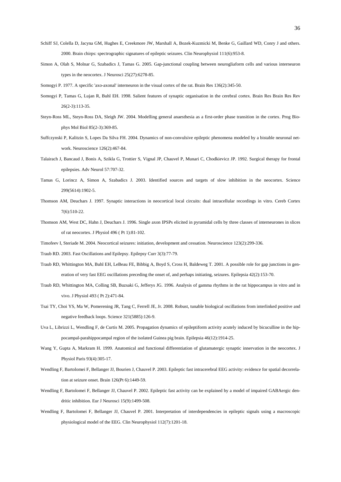- Schiff SJ, Colella D, Jacyna GM, Hughes E, Creekmore JW, Marshall A, Bozek-Kuzmicki M, Benke G, Gaillard WD, Conry J and others. 2000. Brain chirps: spectrographic signatures of epileptic seizures. Clin Neurophysiol 111(6):953-8.
- Simon A, Olah S, Molnar G, Szabadics J, Tamas G. 2005. Gap-junctional coupling between neurogliaform cells and various interneuron types in the neocortex. J Neurosci 25(27):6278-85.
- Somogyi P. 1977. A specific 'axo-axonal' interneuron in the visual cortex of the rat. Brain Res 136(2):345-50.
- Somogyi P, Tamas G, Lujan R, Buhl EH. 1998. Salient features of synaptic organisation in the cerebral cortex. Brain Res Brain Res Rev 26(2-3):113-35.
- Steyn-Ross ML, Steyn-Ross DA, Sleigh JW. 2004. Modelling general anaesthesia as a first-order phase transition in the cortex. Prog Biophys Mol Biol 85(2-3):369-85.
- Suffczynski P, Kalitzin S, Lopes Da Silva FH. 2004. Dynamics of non-convulsive epileptic phenomena modeled by a bistable neuronal network. Neuroscience 126(2):467-84.
- Talairach J, Bancaud J, Bonis A, Szikla G, Trottier S, Vignal JP, Chauvel P, Munari C, Chodkievicz JP. 1992. Surgical therapy for frontal epilepsies. Adv Neurol 57:707-32.
- Tamas G, Lorincz A, Simon A, Szabadics J. 2003. Identified sources and targets of slow inhibition in the neocortex. Science 299(5614):1902-5.
- Thomson AM, Deuchars J. 1997. Synaptic interactions in neocortical local circuits: dual intracellular recordings in vitro. Cereb Cortex 7(6):510-22.
- Thomson AM, West DC, Hahn J, Deuchars J. 1996. Single axon IPSPs elicited in pyramidal cells by three classes of interneurones in slices of rat neocortex. J Physiol 496 ( Pt 1):81-102.
- Timofeev I, Steriade M. 2004. Neocortical seizures: initiation, development and cessation. Neuroscience 123(2):299-336.
- Traub RD. 2003. Fast Oscillations and Epilepsy. Epilepsy Curr 3(3):77-79.
- Traub RD, Whittington MA, Buhl EH, LeBeau FE, Bibbig A, Boyd S, Cross H, Baldeweg T. 2001. A possible role for gap junctions in generation of very fast EEG oscillations preceding the onset of, and perhaps initiating, seizures. Epilepsia 42(2):153-70.
- Traub RD, Whittington MA, Colling SB, Buzsaki G, Jefferys JG. 1996. Analysis of gamma rhythms in the rat hippocampus in vitro and in vivo. J Physiol 493 ( Pt 2):471-84.
- Tsai TY, Choi YS, Ma W, Pomerening JR, Tang C, Ferrell JE, Jr. 2008. Robust, tunable biological oscillations from interlinked positive and negative feedback loops. Science 321(5885):126-9.
- Uva L, Librizzi L, Wendling F, de Curtis M. 2005. Propagation dynamics of epileptiform activity acutely induced by bicuculline in the hippocampal-parahippocampal region of the isolated Guinea pig brain. Epilepsia 46(12):1914-25.
- Wang Y, Gupta A, Markram H. 1999. Anatomical and functional differentiation of glutamatergic synaptic innervation in the neocortex. J Physiol Paris 93(4):305-17.
- Wendling F, Bartolomei F, Bellanger JJ, Bourien J, Chauvel P. 2003. Epileptic fast intracerebral EEG activity: evidence for spatial decorrelation at seizure onset. Brain 126(Pt 6):1449-59.
- Wendling F, Bartolomei F, Bellanger JJ, Chauvel P. 2002. Epileptic fast activity can be explained by a model of impaired GABAergic dendritic inhibition. Eur J Neurosci 15(9):1499-508.
- Wendling F, Bartolomei F, Bellanger JJ, Chauvel P. 2001. Interpretation of interdependencies in epileptic signals using a macroscopic physiological model of the EEG. Clin Neurophysiol 112(7):1201-18.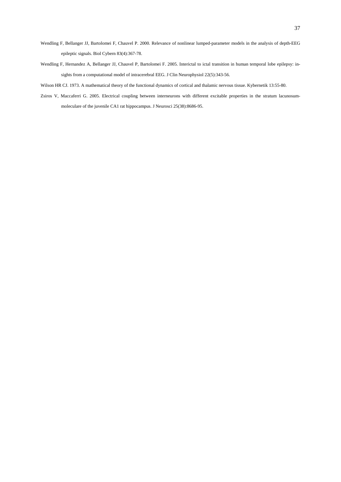- Wendling F, Bellanger JJ, Bartolomei F, Chauvel P. 2000. Relevance of nonlinear lumped-parameter models in the analysis of depth-EEG epileptic signals. Biol Cybern 83(4):367-78.
- Wendling F, Hernandez A, Bellanger JJ, Chauvel P, Bartolomei F. 2005. Interictal to ictal transition in human temporal lobe epilepsy: insights from a computational model of intracerebral EEG. J Clin Neurophysiol 22(5):343-56.

Wilson HR CJ. 1973. A mathematical theory of the functional dynamics of cortical and thalamic nervous tissue. Kybernetik 13:55-80.

Zsiros V, Maccaferri G. 2005. Electrical coupling between interneurons with different excitable properties in the stratum lacunosummoleculare of the juvenile CA1 rat hippocampus. J Neurosci 25(38):8686-95.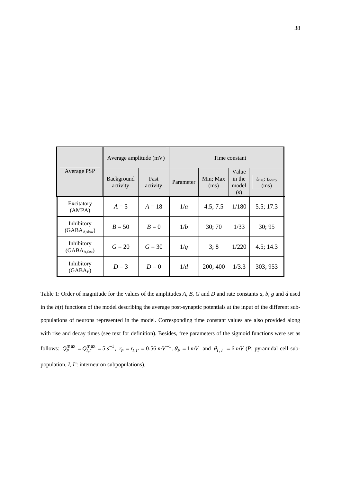| <b>Average PSP</b>                            | Average amplitude (mV)        |                  | Time constant    |                  |                                        |                                  |
|-----------------------------------------------|-------------------------------|------------------|------------------|------------------|----------------------------------------|----------------------------------|
|                                               | <b>Background</b><br>activity | Fast<br>activity | <b>Parameter</b> | Min; Max<br>(ms) | <b>Value</b><br>in the<br>model<br>(s) | $t_{rise}$ ; $t_{decay}$<br>(ms) |
| <b>Excitatory</b><br>(AMPA)                   | $A=5$                         | $A = 18$         | 1/a              | 4.5; 7.5         | 1/180                                  | 5.5; 17.3                        |
| <b>Inhibitory</b><br>$(GABA_{A,\text{slow}})$ | $B = 50$                      | $B=0$            | 1/b              | 30;70            | 1/33                                   | 30; 95                           |
| Inhibitory<br>$(GABA_{A,fast})$               | $G = 20$                      | $G = 30$         | 1/g              | 3; 8             | 1/220                                  | 4.5; 14.3                        |
| <b>Inhibitory</b><br>$(GABA_B)$               | $D=3$                         | $D=0$            | 1/d              | 200; 400         | 1/3.3                                  | 303; 953                         |

Table 1: Order of magnitude for the values of the amplitudes *A*, *B*, *G* and *D* and rate constants *a*, *b*, *g* and *d* used in the *h*(*t*) functions of the model describing the average post-synaptic potentials at the input of the different subpopulations of neurons represented in the model. Corresponding time constant values are also provided along with rise and decay times (see text for definition). Besides, free parameters of the sigmoid functions were set as follows:  $Q_P^{\text{max}} = Q_{I,I'}^{\text{max}} = 5 \text{ s}^{-1}$ ,  $r_P = r_{I,I'} = 0.56 \text{ mV}^{-1}$ ,  $\theta_P = 1 \text{ mV}$  and  $\theta_{I,I'} = 6 \text{ mV}$  (*P*: pyramidal cell subpopulation, *I, I'*: interneuron subpopulations).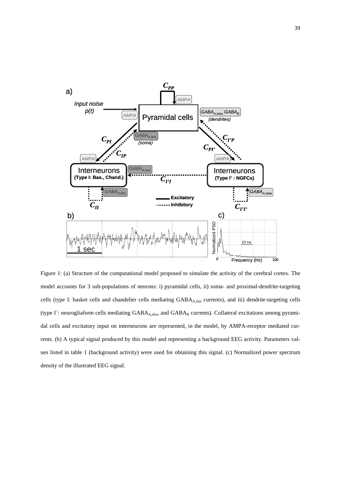

Figure 1: (a) Structure of the computational model proposed to simulate the activity of the cerebral cortex. The model accounts for 3 sub-populations of neurons: i) pyramidal cells, ii) soma- and proximal-dendrite-targeting cells (type I: basket cells and chandelier cells mediating GABA<sub>A,fast</sub> currents), and iii) dendrite-targeting cells (type I´: neurogliaform cells mediating  $GABA_{A,slow}$  and  $GABA_B$  currents). Collateral excitations among pyramidal cells and excitatory input on interneurons are represented, in the model, by AMPA-receptor mediated currents. (b) A typical signal produced by this model and representing a background EEG activity. Parameters values listed in table 1 (background activity) were used for obtaining this signal. (c) Normalized power spectrum density of the illustrated EEG signal.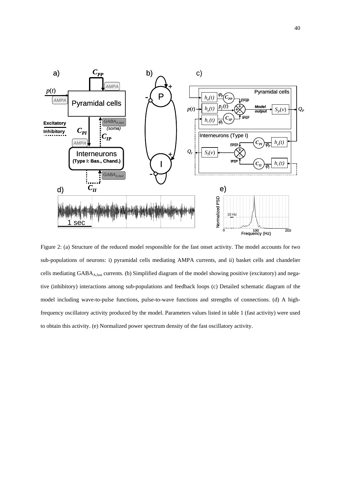

Figure 2: (a) Structure of the reduced model responsible for the fast onset activity. The model accounts for two sub-populations of neurons: i) pyramidal cells mediating AMPA currents, and ii) basket cells and chandelier cells mediating GABA<sub>A,fast</sub> currents. (b) Simplified diagram of the model showing positive (excitatory) and negative (inhibitory) interactions among sub-populations and feedback loops (c) Detailed schematic diagram of the model including wave-to-pulse functions, pulse-to-wave functions and strengths of connections. (d) A highfrequency oscillatory activity produced by the model. Parameters values listed in table 1 (fast activity) were used to obtain this activity. (e) Normalized power spectrum density of the fast oscillatory activity.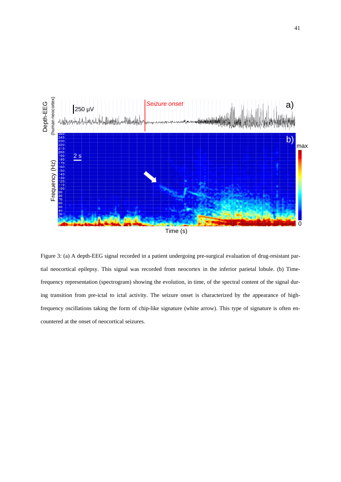

Figure 3: (a) A depth-EEG signal recorded in a patient undergoing pre-surgical evaluation of drug-resistant partial neocortical epilepsy. This signal was recorded from neocortex in the inferior parietal lobule. (b) Timefrequency representation (spectrogram) showing the evolution, in time, of the spectral content of the signal during transition from pre-ictal to ictal activity. The seizure onset is characterized by the appearance of highfrequency oscillations taking the form of chip-like signature (white arrow). This type of signature is often encountered at the onset of neocortical seizures.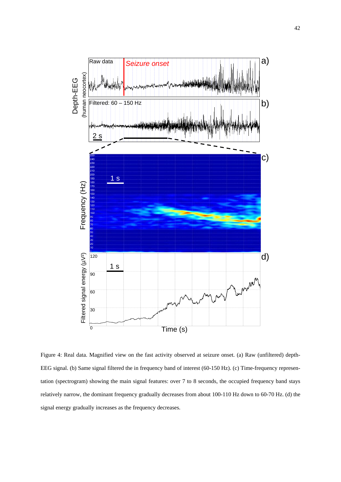

Figure 4: Real data. Magnified view on the fast activity observed at seizure onset. (a) Raw (unfiltered) depth-EEG signal. (b) Same signal filtered the in frequency band of interest (60-150 Hz). (c) Time-frequency representation (spectrogram) showing the main signal features: over 7 to 8 seconds, the occupied frequency band stays relatively narrow, the dominant frequency gradually decreases from about 100-110 Hz down to 60-70 Hz. (d) the signal energy gradually increases as the frequency decreases.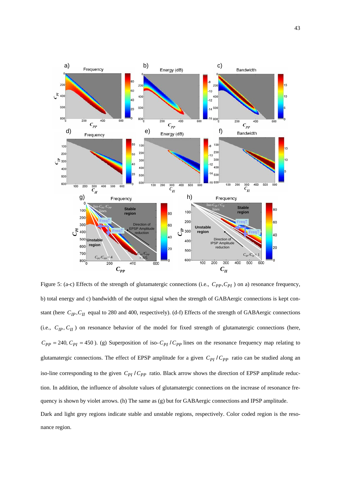

Figure 5: (a-c) Effects of the strength of glutamatergic connections (i.e.,  $C_{PP}, C_{PI}$ ) on a) resonance frequency, b) total energy and c) bandwidth of the output signal when the strength of GABAergic connections is kept constant (here  $C_{IP}, C_{II}$  equal to 280 and 400, respectively). (d-f) Effects of the strength of GABAergic connections (i.e.,  $C_{IP}$ ,  $C_{II}$ ) on resonance behavior of the model for fixed strength of glutamatergic connections (here,  $C_{PP}$  = 240,  $C_{PI}$  = 450). (g) Superposition of iso-  $C_{PI}$  /  $C_{PP}$  lines on the resonance frequency map relating to glutamatergic connections. The effect of EPSP amplitude for a given  $\,C_{PI}$  /  $C_{PP} \,$  ratio can be studied along an iso-line corresponding to the given  $\,C_{PI}$  /  $C_{PP}\,$  ratio. Black arrow shows the direction of EPSP amplitude reduction. In addition, the influence of absolute values of glutamatergic connections on the increase of resonance frequency is shown by violet arrows. (h) The same as (g) but for GABAergic connections and IPSP amplitude. Dark and light grey regions indicate stable and unstable regions, respectively. Color coded region is the resonance region.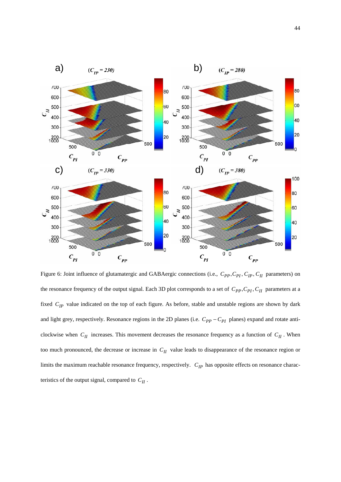

Figure 6: Joint influence of glutamatergic and GABAergic connections (i.e.,  $C_{PP}, C_{PI}, C_{IP}, C_{II}$  parameters) on the resonance frequency of the output signal. Each 3D plot corresponds to a set of  $C_{PP}, C_{PI}, C_{II}$  parameters at a fixed  $C_{IP}$  value indicated on the top of each figure. As before, stable and unstable regions are shown by dark and light grey, respectively. Resonance regions in the 2D planes (i.e.  $C_{PP} - C_{PI}$  planes) expand and rotate anticlockwise when  $C_{II}$  increases. This movement decreases the resonance frequency as a function of  $C_{II}$ . When too much pronounced, the decrease or increase in *CII* value leads to disappearance of the resonance region or limits the maximum reachable resonance frequency, respectively.  $C_{IP}$  has opposite effects on resonance characteristics of the output signal, compared to *CII* .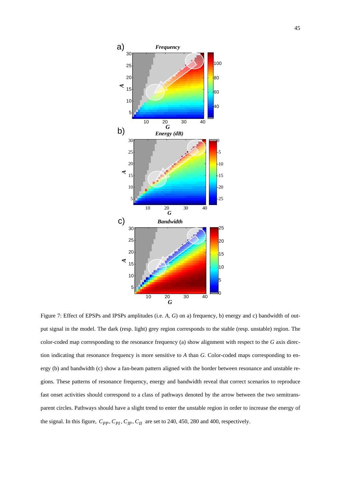

Figure 7: Effect of EPSPs and IPSPs amplitudes (i.e. *A*, *G*) on a) frequency, b) energy and c) bandwidth of output signal in the model. The dark (resp. light) grey region corresponds to the stable (resp. unstable) region. The color-coded map corresponding to the resonance frequency (a) show alignment with respect to the *G* axis direction indicating that resonance frequency is more sensitive to *A* than *G*. Color-coded maps corresponding to energy (b) and bandwidth (c) show a fan-beam pattern aligned with the border between resonance and unstable regions. These patterns of resonance frequency, energy and bandwidth reveal that correct scenarios to reproduce fast onset activities should correspond to a class of pathways denoted by the arrow between the two semitransparent circles. Pathways should have a slight trend to enter the unstable region in order to increase the energy of the signal. In this figure,  $C_{PP}$ ,  $C_{PI}$ ,  $C_{IP}$ ,  $C_{II}$  are set to 240, 450, 280 and 400, respectively.